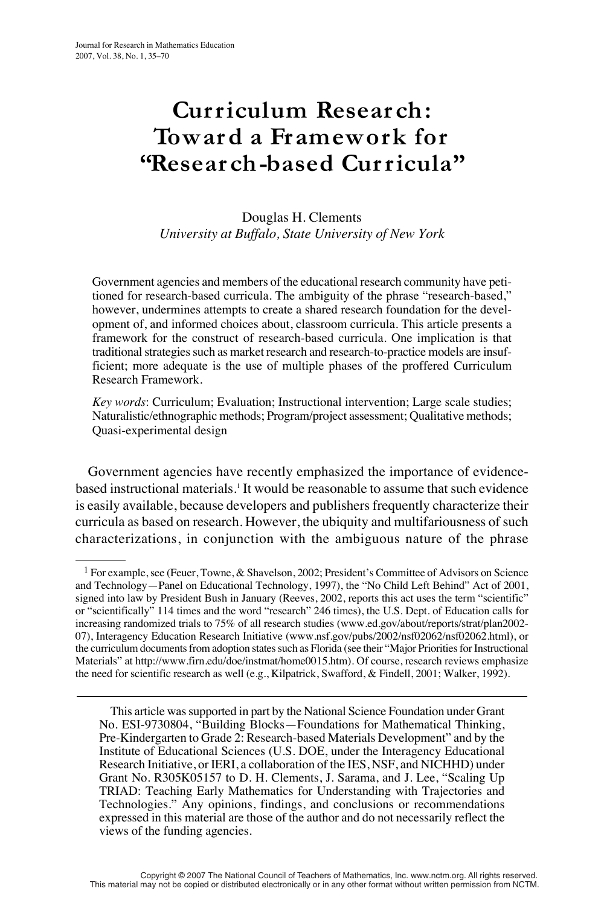# **Curriculum Resear ch: Towar d a Framework for "Resear ch-based Curricula"**

Douglas H. Clements *University at Buffalo, State University of New York*

Government agencies and members of the educational research community have petitioned for research-based curricula. The ambiguity of the phrase "research-based," however, undermines attempts to create a shared research foundation for the development of, and informed choices about, classroom curricula. This article presents a framework for the construct of research-based curricula. One implication is that traditional strategies such as market research and research-to-practice models are insufficient; more adequate is the use of multiple phases of the proffered Curriculum Research Framework.

*Key words*: Curriculum; Evaluation; Instructional intervention; Large scale studies; Naturalistic/ethnographic methods; Program/project assessment; Qualitative methods; Quasi-experimental design

Government agencies have recently emphasized the importance of evidencebased instructional materials.1 It would be reasonable to assume that such evidence is easily available, because developers and publishers frequently characterize their curricula as based on research. However, the ubiquity and multifariousness of such characterizations, in conjunction with the ambiguous nature of the phrase

This article was supported in part by the National Science Foundation under Grant No. ESI-9730804, "Building Blocks—Foundations for Mathematical Thinking, Pre-Kindergarten to Grade 2: Research-based Materials Development" and by the Institute of Educational Sciences (U.S. DOE, under the Interagency Educational Research Initiative, or IERI, a collaboration of the IES, NSF, and NICHHD) under Grant No. R305K05157 to D. H. Clements, J. Sarama, and J. Lee, "Scaling Up TRIAD: Teaching Early Mathematics for Understanding with Trajectories and Technologies." Any opinions, findings, and conclusions or recommendations expressed in this material are those of the author and do not necessarily reflect the views of the funding agencies.

<sup>&</sup>lt;sup>1</sup> For example, see (Feuer, Towne, & Shavelson, 2002; President's Committee of Advisors on Science and Technology—Panel on Educational Technology, 1997), the "No Child Left Behind" Act of 2001, signed into law by President Bush in January (Reeves, 2002, reports this act uses the term "scientific" or "scientifically" 114 times and the word "research" 246 times), the U.S. Dept. of Education calls for increasing randomized trials to 75% of all research studies (www.ed.gov/about/reports/strat/plan2002- 07), Interagency Education Research Initiative (www.nsf.gov/pubs/2002/nsf02062/nsf02062.html), or the curriculum documents from adoption states such as Florida (see their "Major Priorities for Instructional Materials" at http://www.firn.edu/doe/instmat/home0015.htm). Of course, research reviews emphasize the need for scientific research as well (e.g., Kilpatrick, Swafford, & Findell, 2001; Walker, 1992).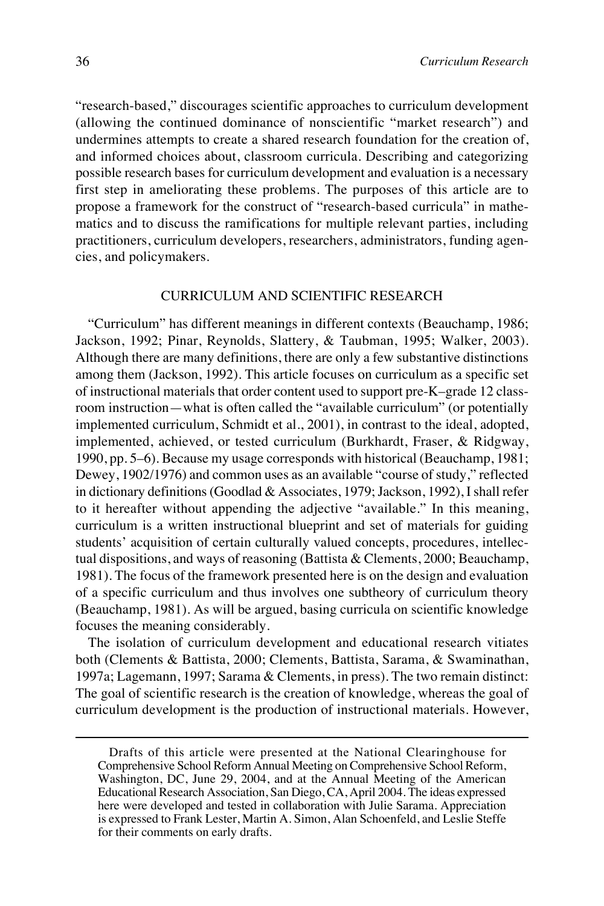"research-based," discourages scientific approaches to curriculum development (allowing the continued dominance of nonscientific "market research") and undermines attempts to create a shared research foundation for the creation of, and informed choices about, classroom curricula. Describing and categorizing possible research bases for curriculum development and evaluation is a necessary first step in ameliorating these problems. The purposes of this article are to propose a framework for the construct of "research-based curricula" in mathematics and to discuss the ramifications for multiple relevant parties, including practitioners, curriculum developers, researchers, administrators, funding agencies, and policymakers.

#### CURRICULUM AND SCIENTIFIC RESEARCH

"Curriculum" has different meanings in different contexts (Beauchamp, 1986; Jackson, 1992; Pinar, Reynolds, Slattery, & Taubman, 1995; Walker, 2003). Although there are many definitions, there are only a few substantive distinctions among them (Jackson, 1992). This article focuses on curriculum as a specific set of instructional materials that order content used to support pre-K–grade 12 classroom instruction—what is often called the "available curriculum" (or potentially implemented curriculum, Schmidt et al., 2001), in contrast to the ideal, adopted, implemented, achieved, or tested curriculum (Burkhardt, Fraser, & Ridgway, 1990, pp. 5–6). Because my usage corresponds with historical (Beauchamp, 1981; Dewey, 1902/1976) and common uses as an available "course of study," reflected in dictionary definitions (Goodlad & Associates, 1979; Jackson, 1992), I shall refer to it hereafter without appending the adjective "available." In this meaning, curriculum is a written instructional blueprint and set of materials for guiding students' acquisition of certain culturally valued concepts, procedures, intellectual dispositions, and ways of reasoning (Battista & Clements, 2000; Beauchamp, 1981). The focus of the framework presented here is on the design and evaluation of a specific curriculum and thus involves one subtheory of curriculum theory (Beauchamp, 1981). As will be argued, basing curricula on scientific knowledge focuses the meaning considerably.

The isolation of curriculum development and educational research vitiates both (Clements & Battista, 2000; Clements, Battista, Sarama, & Swaminathan, 1997a; Lagemann, 1997; Sarama & Clements, in press). The two remain distinct: The goal of scientific research is the creation of knowledge, whereas the goal of curriculum development is the production of instructional materials. However,

Drafts of this article were presented at the National Clearinghouse for Comprehensive School Reform Annual Meeting on Comprehensive School Reform, Washington, DC, June 29, 2004, and at the Annual Meeting of the American Educational Research Association, San Diego, CA, April 2004. The ideas expressed here were developed and tested in collaboration with Julie Sarama. Appreciation is expressed to Frank Lester, Martin A. Simon, Alan Schoenfeld, and Leslie Steffe for their comments on early drafts.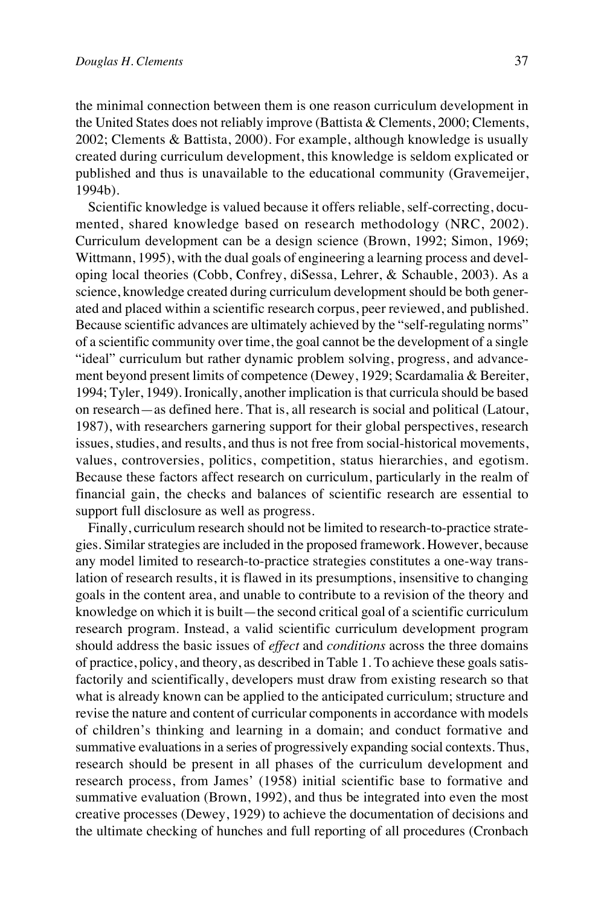the minimal connection between them is one reason curriculum development in the United States does not reliably improve (Battista & Clements, 2000; Clements, 2002; Clements & Battista, 2000). For example, although knowledge is usually created during curriculum development, this knowledge is seldom explicated or published and thus is unavailable to the educational community (Gravemeijer, 1994b).

Scientific knowledge is valued because it offers reliable, self-correcting, documented, shared knowledge based on research methodology (NRC, 2002). Curriculum development can be a design science (Brown, 1992; Simon, 1969; Wittmann, 1995), with the dual goals of engineering a learning process and developing local theories (Cobb, Confrey, diSessa, Lehrer, & Schauble, 2003). As a science, knowledge created during curriculum development should be both generated and placed within a scientific research corpus, peer reviewed, and published. Because scientific advances are ultimately achieved by the "self-regulating norms" of a scientific community over time, the goal cannot be the development of a single "ideal" curriculum but rather dynamic problem solving, progress, and advancement beyond present limits of competence (Dewey, 1929; Scardamalia & Bereiter, 1994; Tyler, 1949). Ironically, another implication is that curricula should be based on research—as defined here. That is, all research is social and political (Latour, 1987), with researchers garnering support for their global perspectives, research issues, studies, and results, and thus is not free from social-historical movements, values, controversies, politics, competition, status hierarchies, and egotism. Because these factors affect research on curriculum, particularly in the realm of financial gain, the checks and balances of scientific research are essential to support full disclosure as well as progress.

Finally, curriculum research should not be limited to research-to-practice strategies. Similar strategies are included in the proposed framework. However, because any model limited to research-to-practice strategies constitutes a one-way translation of research results, it is flawed in its presumptions, insensitive to changing goals in the content area, and unable to contribute to a revision of the theory and knowledge on which it is built—the second critical goal of a scientific curriculum research program. Instead, a valid scientific curriculum development program should address the basic issues of *effect* and *conditions* across the three domains of practice, policy, and theory, as described in Table 1. To achieve these goals satisfactorily and scientifically, developers must draw from existing research so that what is already known can be applied to the anticipated curriculum; structure and revise the nature and content of curricular components in accordance with models of children's thinking and learning in a domain; and conduct formative and summative evaluations in a series of progressively expanding social contexts. Thus, research should be present in all phases of the curriculum development and research process, from James' (1958) initial scientific base to formative and summative evaluation (Brown, 1992), and thus be integrated into even the most creative processes (Dewey, 1929) to achieve the documentation of decisions and the ultimate checking of hunches and full reporting of all procedures (Cronbach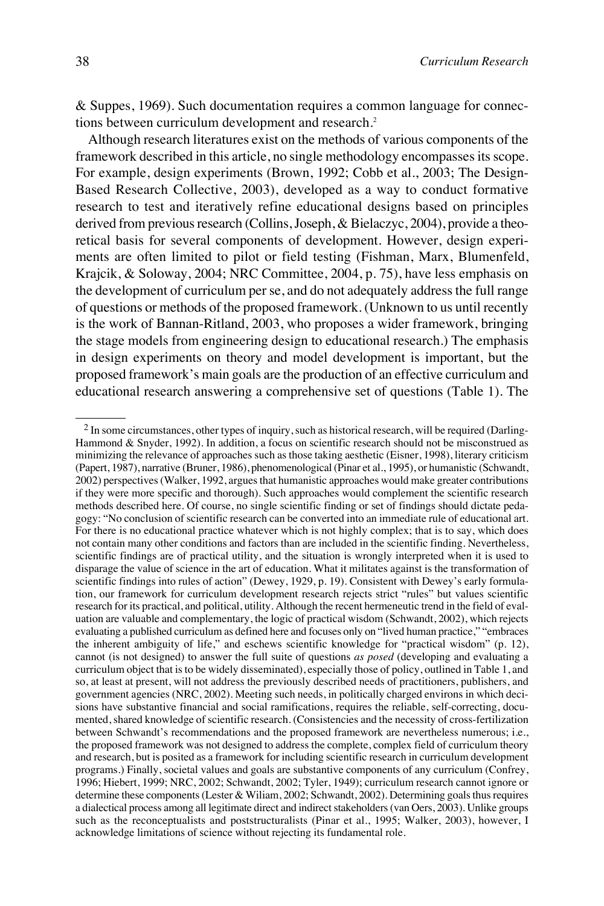& Suppes, 1969). Such documentation requires a common language for connections between curriculum development and research.<sup>2</sup>

Although research literatures exist on the methods of various components of the framework described in this article, no single methodology encompasses its scope. For example, design experiments (Brown, 1992; Cobb et al., 2003; The Design-Based Research Collective, 2003), developed as a way to conduct formative research to test and iteratively refine educational designs based on principles derived from previous research (Collins, Joseph, & Bielaczyc, 2004), provide a theoretical basis for several components of development. However, design experiments are often limited to pilot or field testing (Fishman, Marx, Blumenfeld, Krajcik, & Soloway, 2004; NRC Committee, 2004, p. 75), have less emphasis on the development of curriculum per se, and do not adequately address the full range of questions or methods of the proposed framework. (Unknown to us until recently is the work of Bannan-Ritland, 2003, who proposes a wider framework, bringing the stage models from engineering design to educational research.) The emphasis in design experiments on theory and model development is important, but the proposed framework's main goals are the production of an effective curriculum and educational research answering a comprehensive set of questions (Table 1). The

<sup>&</sup>lt;sup>2</sup> In some circumstances, other types of inquiry, such as historical research, will be required (Darling-Hammond & Snyder, 1992). In addition, a focus on scientific research should not be misconstrued as minimizing the relevance of approaches such as those taking aesthetic (Eisner, 1998), literary criticism (Papert, 1987), narrative (Bruner, 1986), phenomenological (Pinar et al., 1995), or humanistic (Schwandt, 2002) perspectives (Walker, 1992, argues that humanistic approaches would make greater contributions if they were more specific and thorough). Such approaches would complement the scientific research methods described here. Of course, no single scientific finding or set of findings should dictate pedagogy: "No conclusion of scientific research can be converted into an immediate rule of educational art. For there is no educational practice whatever which is not highly complex; that is to say, which does not contain many other conditions and factors than are included in the scientific finding. Nevertheless, scientific findings are of practical utility, and the situation is wrongly interpreted when it is used to disparage the value of science in the art of education. What it militates against is the transformation of scientific findings into rules of action" (Dewey, 1929, p. 19). Consistent with Dewey's early formulation, our framework for curriculum development research rejects strict "rules" but values scientific research for its practical, and political, utility. Although the recent hermeneutic trend in the field of evaluation are valuable and complementary, the logic of practical wisdom (Schwandt, 2002), which rejects evaluating a published curriculum as defined here and focuses only on "lived human practice," "embraces the inherent ambiguity of life," and eschews scientific knowledge for "practical wisdom" (p. 12), cannot (is not designed) to answer the full suite of questions *as posed* (developing and evaluating a curriculum object that is to be widely disseminated), especially those of policy, outlined in Table 1, and so, at least at present, will not address the previously described needs of practitioners, publishers, and government agencies (NRC, 2002). Meeting such needs, in politically charged environs in which decisions have substantive financial and social ramifications, requires the reliable, self-correcting, documented, shared knowledge of scientific research. (Consistencies and the necessity of cross-fertilization between Schwandt's recommendations and the proposed framework are nevertheless numerous; i.e., the proposed framework was not designed to address the complete, complex field of curriculum theory and research, but is posited as a framework for including scientific research in curriculum development programs.) Finally, societal values and goals are substantive components of any curriculum (Confrey, 1996; Hiebert, 1999; NRC, 2002; Schwandt, 2002; Tyler, 1949); curriculum research cannot ignore or determine these components (Lester & Wiliam, 2002; Schwandt, 2002). Determining goals thus requires a dialectical process among all legitimate direct and indirect stakeholders (van Oers, 2003). Unlike groups such as the reconceptualists and poststructuralists (Pinar et al., 1995; Walker, 2003), however, I acknowledge limitations of science without rejecting its fundamental role.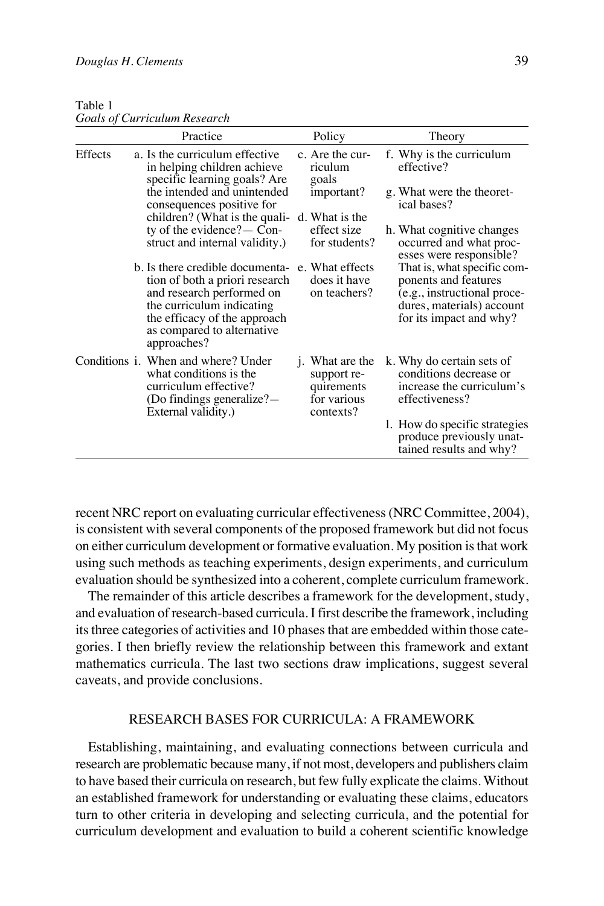| Table 1 |                                     |  |
|---------|-------------------------------------|--|
|         | <b>Goals of Curriculum Research</b> |  |

|         | Practice                                                                                                                                                                                                 | Policy                                                                           | Theory                                                                                                                                     |
|---------|----------------------------------------------------------------------------------------------------------------------------------------------------------------------------------------------------------|----------------------------------------------------------------------------------|--------------------------------------------------------------------------------------------------------------------------------------------|
| Effects | a. Is the curriculum effective<br>in helping children achieve<br>specific learning goals? Are                                                                                                            | c. Are the cur-<br>riculum<br>goals                                              | f. Why is the curriculum<br>effective?                                                                                                     |
|         | the intended and unintended<br>consequences positive for                                                                                                                                                 | important?                                                                       | g. What were the theoret-<br>ical bases?                                                                                                   |
|         | children? (What is the quali-<br>ty of the evidence? $\sim$ Con-<br>struct and internal validity.)                                                                                                       | d. What is the<br>effect size<br>for students?                                   | h. What cognitive changes<br>occurred and what proc-<br>esses were responsible?                                                            |
|         | b. Is there credible documenta-<br>tion of both a priori research<br>and research performed on<br>the curriculum indicating<br>the efficacy of the approach<br>as compared to alternative<br>approaches? | e. What effects<br>does it have<br>on teachers?                                  | That is, what specific com-<br>ponents and features<br>(e.g., instructional proce-<br>dures, materials) account<br>for its impact and why? |
|         | Conditions <i>i</i> . When and where? Under<br>what conditions is the<br>curriculum effective?<br>(Do findings generalize?—<br>External validity.)                                                       | <i>i</i> . What are the<br>support re-<br>quirements<br>for various<br>contexts? | k. Why do certain sets of<br>conditions decrease or<br>increase the curriculum's<br>effectiveness?                                         |
|         |                                                                                                                                                                                                          |                                                                                  | l. How do specific strategies<br>produce previously unat-<br>tained results and why?                                                       |

recent NRC report on evaluating curricular effectiveness (NRC Committee, 2004), is consistent with several components of the proposed framework but did not focus on either curriculum development or formative evaluation. My position is that work using such methods as teaching experiments, design experiments, and curriculum evaluation should be synthesized into a coherent, complete curriculum framework.

The remainder of this article describes a framework for the development, study, and evaluation of research-based curricula. I first describe the framework, including its three categories of activities and 10 phases that are embedded within those categories. I then briefly review the relationship between this framework and extant mathematics curricula. The last two sections draw implications, suggest several caveats, and provide conclusions.

#### RESEARCH BASES FOR CURRICULA: A FRAMEWORK

Establishing, maintaining, and evaluating connections between curricula and research are problematic because many, if not most, developers and publishers claim to have based their curricula on research, but few fully explicate the claims. Without an established framework for understanding or evaluating these claims, educators turn to other criteria in developing and selecting curricula, and the potential for curriculum development and evaluation to build a coherent scientific knowledge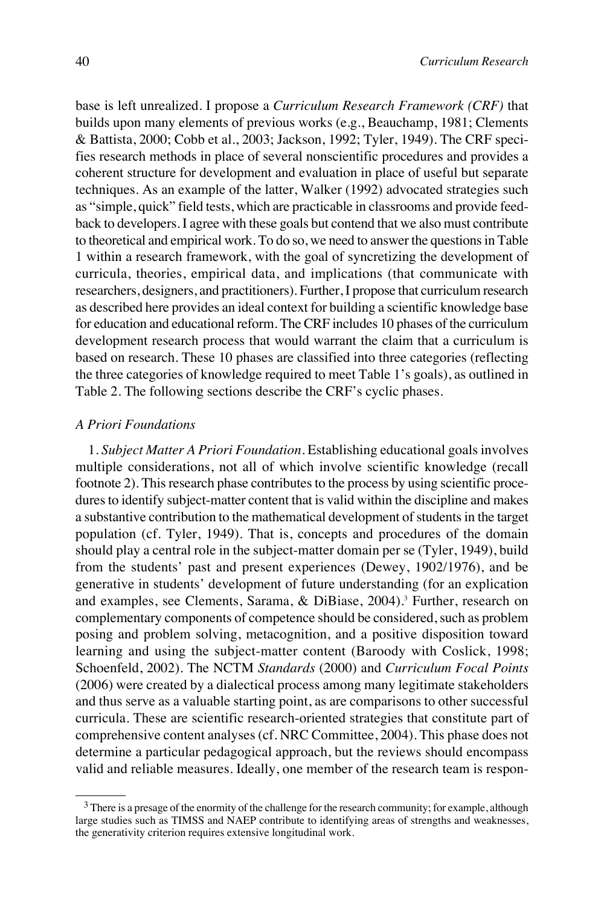base is left unrealized. I propose a *Curriculum Research Framework (CRF)* that builds upon many elements of previous works (e.g., Beauchamp, 1981; Clements & Battista, 2000; Cobb et al., 2003; Jackson, 1992; Tyler, 1949). The CRF specifies research methods in place of several nonscientific procedures and provides a coherent structure for development and evaluation in place of useful but separate techniques. As an example of the latter, Walker (1992) advocated strategies such as "simple, quick" field tests, which are practicable in classrooms and provide feedback to developers. I agree with these goals but contend that we also must contribute to theoretical and empirical work. To do so, we need to answer the questions in Table 1 within a research framework, with the goal of syncretizing the development of curricula, theories, empirical data, and implications (that communicate with researchers, designers, and practitioners). Further, I propose that curriculum research as described here provides an ideal context for building a scientific knowledge base for education and educational reform. The CRF includes 10 phases of the curriculum development research process that would warrant the claim that a curriculum is based on research. These 10 phases are classified into three categories (reflecting the three categories of knowledge required to meet Table 1's goals), as outlined in Table 2. The following sections describe the CRF's cyclic phases.

## *A Priori Foundations*

1. *Subject Matter A Priori Foundation.* Establishing educational goals involves multiple considerations, not all of which involve scientific knowledge (recall footnote 2). This research phase contributes to the process by using scientific procedures to identify subject-matter content that is valid within the discipline and makes a substantive contribution to the mathematical development of students in the target population (cf. Tyler, 1949). That is, concepts and procedures of the domain should play a central role in the subject-matter domain per se (Tyler, 1949), build from the students' past and present experiences (Dewey, 1902/1976), and be generative in students' development of future understanding (for an explication and examples, see Clements, Sarama, & DiBiase, 2004).<sup>3</sup> Further, research on complementary components of competence should be considered, such as problem posing and problem solving, metacognition, and a positive disposition toward learning and using the subject-matter content (Baroody with Coslick, 1998; Schoenfeld, 2002). The NCTM *Standards* (2000) and *Curriculum Focal Points* (2006) were created by a dialectical process among many legitimate stakeholders and thus serve as a valuable starting point, as are comparisons to other successful curricula. These are scientific research-oriented strategies that constitute part of comprehensive content analyses (cf. NRC Committee, 2004). This phase does not determine a particular pedagogical approach, but the reviews should encompass valid and reliable measures. Ideally, one member of the research team is respon-

<sup>&</sup>lt;sup>3</sup> There is a presage of the enormity of the challenge for the research community; for example, although large studies such as TIMSS and NAEP contribute to identifying areas of strengths and weaknesses, the generativity criterion requires extensive longitudinal work.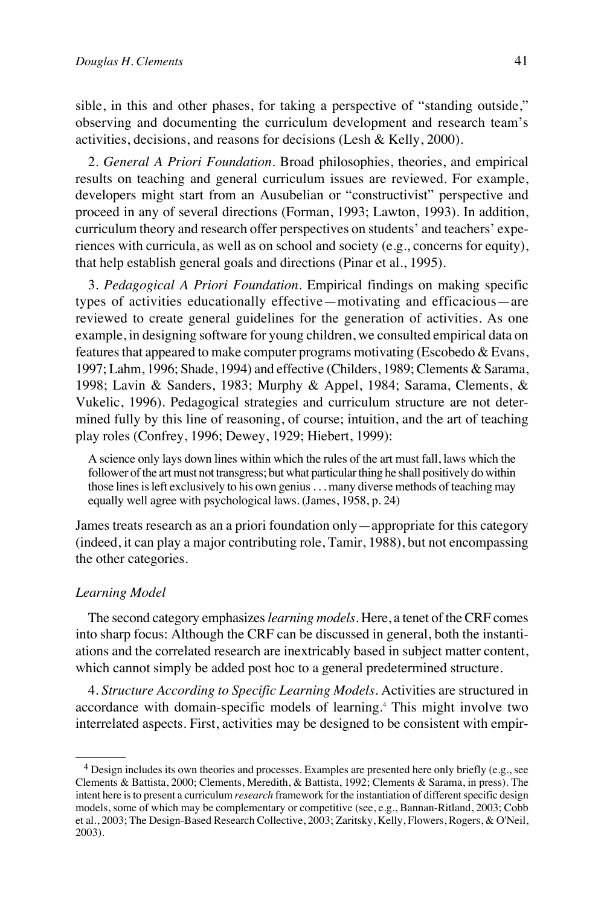sible, in this and other phases, for taking a perspective of "standing outside," observing and documenting the curriculum development and research team's activities, decisions, and reasons for decisions (Lesh & Kelly, 2000).

2. *General A Priori Foundation.* Broad philosophies, theories, and empirical results on teaching and general curriculum issues are reviewed. For example, developers might start from an Ausubelian or "constructivist" perspective and proceed in any of several directions (Forman, 1993; Lawton, 1993). In addition, curriculum theory and research offer perspectives on students' and teachers' experiences with curricula, as well as on school and society (e.g., concerns for equity), that help establish general goals and directions (Pinar et al., 1995).

3. *Pedagogical A Priori Foundation.* Empirical findings on making specific types of activities educationally effective—motivating and efficacious—are reviewed to create general guidelines for the generation of activities. As one example, in designing software for young children, we consulted empirical data on features that appeared to make computer programs motivating (Escobedo & Evans, 1997; Lahm, 1996; Shade, 1994) and effective (Childers, 1989; Clements & Sarama, 1998; Lavin & Sanders, 1983; Murphy & Appel, 1984; Sarama, Clements, & Vukelic, 1996). Pedagogical strategies and curriculum structure are not determined fully by this line of reasoning, of course; intuition, and the art of teaching play roles (Confrey, 1996; Dewey, 1929; Hiebert, 1999):

A science only lays down lines within which the rules of the art must fall, laws which the follower of the art must not transgress; but what particular thing he shall positively do within those lines is left exclusively to his own genius . . . many diverse methods of teaching may equally well agree with psychological laws. (James, 1958, p. 24)

James treats research as an a priori foundation only—appropriate for this category (indeed, it can play a major contributing role, Tamir, 1988), but not encompassing the other categories.

#### *Learning Model*

The second category emphasizes *learning models*. Here, a tenet of the CRF comes into sharp focus: Although the CRF can be discussed in general, both the instantiations and the correlated research are inextricably based in subject matter content, which cannot simply be added post hoc to a general predetermined structure.

4. *Structure According to Specific Learning Models.* Activities are structured in accordance with domain-specific models of learning.<sup>4</sup> This might involve two interrelated aspects. First, activities may be designed to be consistent with empir-

<sup>&</sup>lt;sup>4</sup> Design includes its own theories and processes. Examples are presented here only briefly (e.g., see Clements & Battista, 2000; Clements, Meredith, & Battista, 1992; Clements & Sarama, in press). The intent here is to present a curriculum *research* framework for the instantiation of different specific design models, some of which may be complementary or competitive (see, e.g., Bannan-Ritland, 2003; Cobb et al., 2003; The Design-Based Research Collective, 2003; Zaritsky, Kelly, Flowers, Rogers, & O'Neil, 2003).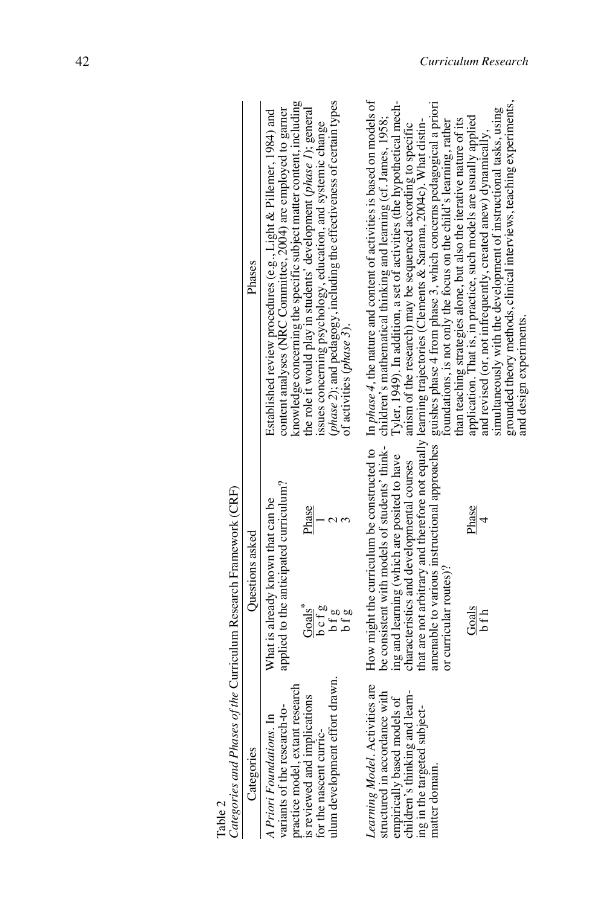| Table 2                                                                                                                                                              | Categories and Phases of the Curriculum Research Framework (CRF)                                                                           |                                                                                                                                                                                                                                                                                                                                                                          |
|----------------------------------------------------------------------------------------------------------------------------------------------------------------------|--------------------------------------------------------------------------------------------------------------------------------------------|--------------------------------------------------------------------------------------------------------------------------------------------------------------------------------------------------------------------------------------------------------------------------------------------------------------------------------------------------------------------------|
| Categories                                                                                                                                                           | Questions asked                                                                                                                            | Phases                                                                                                                                                                                                                                                                                                                                                                   |
| variants of the research-to-<br>ᆸ<br>A Priori Foundations.                                                                                                           | applied to the anticipated curriculum?<br>What is already known that can be                                                                | Established review procedures (e.g., Light & Pillemer, 1984) and<br>content analyses (NRC Committee, 2004) are employed to garner                                                                                                                                                                                                                                        |
| ulum development effort drawn.<br>research<br>practice model, extant researd<br>is reviewed and implications<br>for the nascent curric-                              | Phase<br>$\frac{1}{3}$<br>Goals <sup>*</sup><br>$b$ of $g$<br>$b$ f $g$<br>$b$ f $g$                                                       | (phase 2); and pedagogy, including the effectiveness of certain types<br>knowledge concerning the specific subject matter content, including<br>the role it would play in students' development $(phase I)$ ; general<br>issues concerning psychology, education, and systemic change<br>of activities (phase 5).                                                        |
| Learning Model. Activities are 1<br>structured in accordance with<br>empirically based models of 1<br>children's thinking and learn-<br>ing in the targeted subject- | How might the curriculum be constructed to<br>be consistent with models of students' think-<br>ing and learning (which are posited to have | In <i>phase</i> 4, the nature and content of activities is based on models of<br>Tyler, 1949). In addition, a set of activities (the hypothetical mech-<br>children's mathematical thinking and learning (cf. James, 1958;                                                                                                                                               |
| natter domain.                                                                                                                                                       | characteristics and developmental courses<br>or curricular routes)?                                                                        | amenable to various instructional approaches guishes phase 4 from phase 3, which concerns pedagogical a priori<br>that are not arbitrary and therefore not equally learning trajectories (Clements & Sarama, 2004c). What distin-<br>foundations, is not only the focus on the child's learning, rather<br>anism of the research) may be sequenced according to specific |
|                                                                                                                                                                      | Phase<br>$\overline{4}$<br>$rac{Gads}{bfth}$                                                                                               | simultaneously with the development of instructional tasks, using<br>application. That is, in practice, such models are usually applied<br>than teaching strategies alone, but also the iterative nature of its<br>and revised (or, not infrequently, created anew) dynamically,                                                                                         |
|                                                                                                                                                                      |                                                                                                                                            | grounded theory methods, clinical interviews, teaching experiments,<br>and design experiments.                                                                                                                                                                                                                                                                           |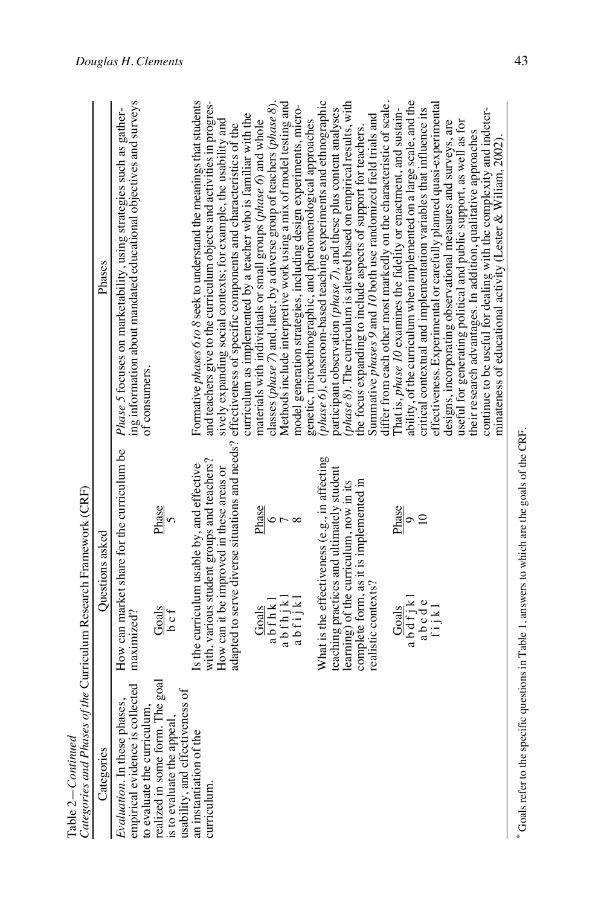|                              | <b>Mondoney</b><br>J            |
|------------------------------|---------------------------------|
|                              | l                               |
|                              | $\frac{1}{2}$                   |
|                              | tegories and Phases of the<br>i |
|                              |                                 |
| <br>עי<br>$\frac{1}{2}$<br>٦ |                                 |

|                                                                                                                                                            | Table 2 – Continued<br>Categories and Phases of the Curriculum Research Framework (CRF)                                              |                                                                                                                                                                                                                                                       |
|------------------------------------------------------------------------------------------------------------------------------------------------------------|--------------------------------------------------------------------------------------------------------------------------------------|-------------------------------------------------------------------------------------------------------------------------------------------------------------------------------------------------------------------------------------------------------|
| Categories                                                                                                                                                 | Questions asked                                                                                                                      | Phases                                                                                                                                                                                                                                                |
| <b>collected</b><br>hases,<br>empirical evidence is o<br>Evaluation. In these pl                                                                           | How can market share for the curriculum be<br>maximized?                                                                             | ing information about mandated educational objectives and surveys<br>Phase 5 focuses on marketability, using strategies such as gather-<br>of consumers.                                                                                              |
| to evaluate the curriculum,<br>realized in some form. The goal<br>is to evaluate the appeal,<br>usability, and effectiveness of<br>an instantiation of the | Phase<br>$\overline{5}$<br>$rac{Gads}{b}$                                                                                            |                                                                                                                                                                                                                                                       |
| curriculum                                                                                                                                                 | with, various student groups and teachers?<br>Is the curriculum usable by, and effective<br>How can it be improved in these areas or | Formative <i>phases 6 to 8</i> seek to understand the meanings that students<br>and teachers give to the curriculum objects and activities in progres-                                                                                                |
|                                                                                                                                                            |                                                                                                                                      | curriculum as implemented by a teacher who is familiar with the<br>sively expanding social contexts; for example, the usability and<br>adapted to serve diverse situations and needs? effectiveness of specific components and characteristics of the |
|                                                                                                                                                            | Phase<br>$\circ$<br>abfhkl<br>Goals                                                                                                  | classes (phase 7) and, later, by a diverse group of teachers (phase 8).<br>materials with individuals or small groups (phase 6) and whole                                                                                                             |
|                                                                                                                                                            | abfhjkl<br>abfijkl                                                                                                                   | Methods include interpretive work using a mix of model testing and<br>model generation strategies, including design experiments, micro-                                                                                                               |
|                                                                                                                                                            | What is the effectiveness (e.g., in affecting                                                                                        | phase 6), classroom-based teaching experiments and ethnographic<br>genetic, microethnographic, and phenomenological approaches                                                                                                                        |
|                                                                                                                                                            | teaching practices and ultimately student                                                                                            | participant observation (phase 7), and these plus content analyses                                                                                                                                                                                    |
|                                                                                                                                                            | complete form, as it is implemented in<br>learning) of the curriculum, now in its                                                    | phase $\delta$ ). The curriculum is altered based on empirical results, with<br>the focus expanding to include aspects of support for teachers.                                                                                                       |
|                                                                                                                                                            | realistic contexts?                                                                                                                  | differ from each other most markedly on the characteristic of scale.<br>Summative phases 9 and 10 both use randomized field trials and                                                                                                                |
|                                                                                                                                                            | Phase<br>Goals                                                                                                                       | That is, phase 10 examines the fidelity or enactment, and sustain-                                                                                                                                                                                    |
|                                                                                                                                                            | $\Omega$<br>$\circ$<br>$abdfjk1$<br>$abcde$<br>$fijkl$                                                                               | ability, of the curriculum when implemented on a large scale, and the<br>critical contextual and implementation variables that influence its                                                                                                          |
|                                                                                                                                                            |                                                                                                                                      | effectiveness. Experimental or carefully planned quasi-experimental                                                                                                                                                                                   |
|                                                                                                                                                            |                                                                                                                                      | useful for generating political and public support, as well as for<br>designs, incorporating observational measures and surveys, are                                                                                                                  |
|                                                                                                                                                            |                                                                                                                                      | their research advantages. In addition, qualitative approaches                                                                                                                                                                                        |
|                                                                                                                                                            |                                                                                                                                      | continue to be useful for dealing with the complexity and indeter-<br>minateness of educational activity (Lester & Wiliam, 2002).                                                                                                                     |

<sup>\*</sup> Goals refer to the specific questions in Table 1, answers to which are the goals of the CRF. Goals refer to the specific questions in Table 1, answers to which are the goals of the CRF.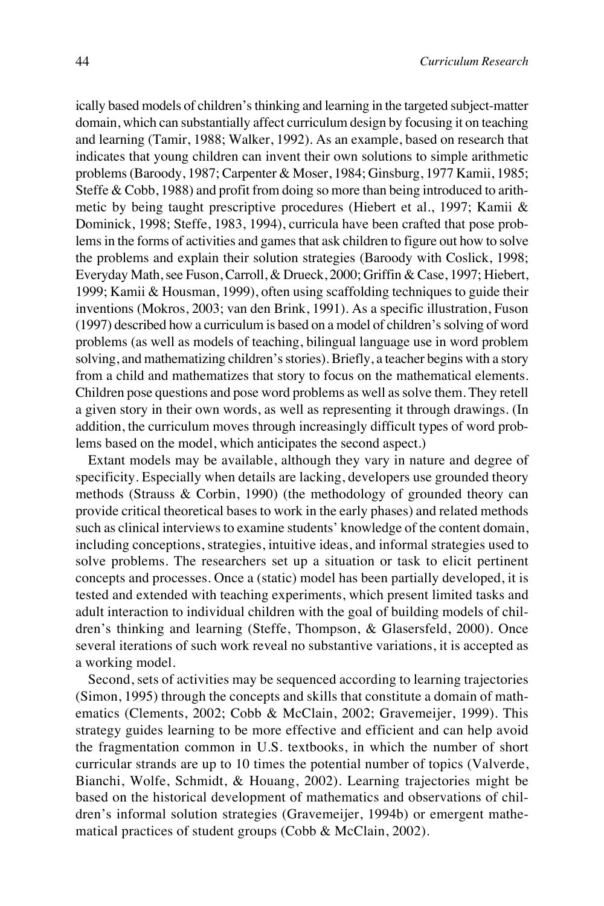ically based models of children's thinking and learning in the targeted subject-matter domain, which can substantially affect curriculum design by focusing it on teaching and learning (Tamir, 1988; Walker, 1992). As an example, based on research that indicates that young children can invent their own solutions to simple arithmetic problems (Baroody, 1987; Carpenter & Moser, 1984; Ginsburg, 1977 Kamii, 1985; Steffe & Cobb, 1988) and profit from doing so more than being introduced to arithmetic by being taught prescriptive procedures (Hiebert et al., 1997; Kamii & Dominick, 1998; Steffe, 1983, 1994), curricula have been crafted that pose problems in the forms of activities and games that ask children to figure out how to solve the problems and explain their solution strategies (Baroody with Coslick, 1998; Everyday Math, see Fuson, Carroll, & Drueck, 2000; Griffin & Case, 1997; Hiebert, 1999; Kamii & Housman, 1999), often using scaffolding techniques to guide their inventions (Mokros, 2003; van den Brink, 1991). As a specific illustration, Fuson (1997) described how a curriculum is based on a model of children's solving of word problems (as well as models of teaching, bilingual language use in word problem solving, and mathematizing children's stories). Briefly, a teacher begins with a story from a child and mathematizes that story to focus on the mathematical elements. Children pose questions and pose word problems as well as solve them. They retell a given story in their own words, as well as representing it through drawings. (In addition, the curriculum moves through increasingly difficult types of word problems based on the model, which anticipates the second aspect.)

Extant models may be available, although they vary in nature and degree of specificity. Especially when details are lacking, developers use grounded theory methods (Strauss & Corbin, 1990) (the methodology of grounded theory can provide critical theoretical bases to work in the early phases) and related methods such as clinical interviews to examine students' knowledge of the content domain, including conceptions, strategies, intuitive ideas, and informal strategies used to solve problems. The researchers set up a situation or task to elicit pertinent concepts and processes. Once a (static) model has been partially developed, it is tested and extended with teaching experiments, which present limited tasks and adult interaction to individual children with the goal of building models of children's thinking and learning (Steffe, Thompson, & Glasersfeld, 2000). Once several iterations of such work reveal no substantive variations, it is accepted as a working model.

Second, sets of activities may be sequenced according to learning trajectories (Simon, 1995) through the concepts and skills that constitute a domain of mathematics (Clements, 2002; Cobb & McClain, 2002; Gravemeijer, 1999). This strategy guides learning to be more effective and efficient and can help avoid the fragmentation common in U.S. textbooks, in which the number of short curricular strands are up to 10 times the potential number of topics (Valverde, Bianchi, Wolfe, Schmidt, & Houang, 2002). Learning trajectories might be based on the historical development of mathematics and observations of children's informal solution strategies (Gravemeijer, 1994b) or emergent mathematical practices of student groups (Cobb & McClain, 2002).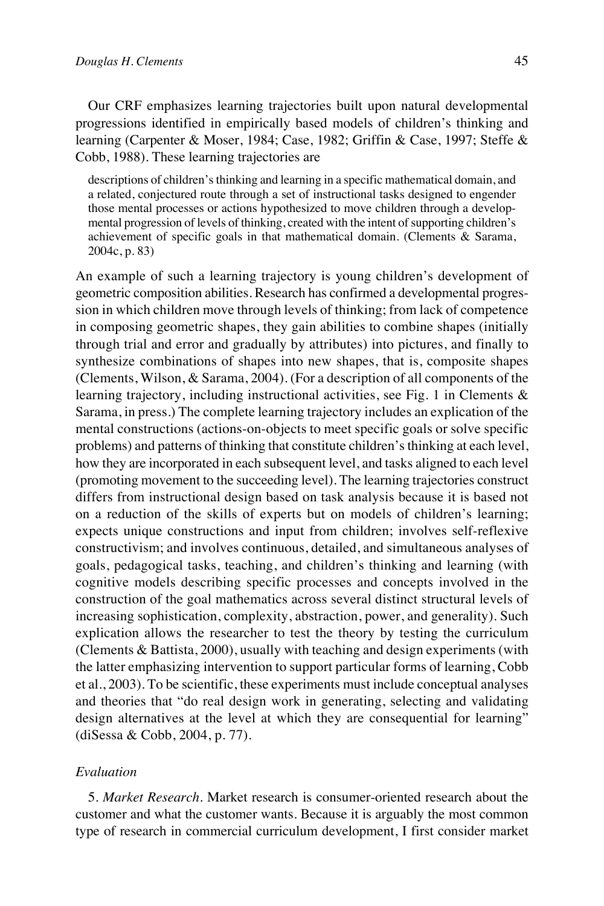Our CRF emphasizes learning trajectories built upon natural developmental progressions identified in empirically based models of children's thinking and learning (Carpenter & Moser, 1984; Case, 1982; Griffin & Case, 1997; Steffe & Cobb, 1988). These learning trajectories are

descriptions of children's thinking and learning in a specific mathematical domain, and a related, conjectured route through a set of instructional tasks designed to engender those mental processes or actions hypothesized to move children through a developmental progression of levels of thinking, created with the intent of supporting children's achievement of specific goals in that mathematical domain. (Clements & Sarama, 2004c, p. 83)

An example of such a learning trajectory is young children's development of geometric composition abilities. Research has confirmed a developmental progression in which children move through levels of thinking; from lack of competence in composing geometric shapes, they gain abilities to combine shapes (initially through trial and error and gradually by attributes) into pictures, and finally to synthesize combinations of shapes into new shapes, that is, composite shapes (Clements, Wilson, & Sarama, 2004). (For a description of all components of the learning trajectory, including instructional activities, see Fig. 1 in Clements & Sarama, in press.) The complete learning trajectory includes an explication of the mental constructions (actions-on-objects to meet specific goals or solve specific problems) and patterns of thinking that constitute children's thinking at each level, how they are incorporated in each subsequent level, and tasks aligned to each level (promoting movement to the succeeding level). The learning trajectories construct differs from instructional design based on task analysis because it is based not on a reduction of the skills of experts but on models of children's learning; expects unique constructions and input from children; involves self-reflexive constructivism; and involves continuous, detailed, and simultaneous analyses of goals, pedagogical tasks, teaching, and children's thinking and learning (with cognitive models describing specific processes and concepts involved in the construction of the goal mathematics across several distinct structural levels of increasing sophistication, complexity, abstraction, power, and generality). Such explication allows the researcher to test the theory by testing the curriculum (Clements & Battista, 2000), usually with teaching and design experiments (with the latter emphasizing intervention to support particular forms of learning, Cobb et al., 2003). To be scientific, these experiments must include conceptual analyses and theories that "do real design work in generating, selecting and validating design alternatives at the level at which they are consequential for learning" (diSessa & Cobb, 2004, p. 77).

# *Evaluation*

5. *Market Research.* Market research is consumer-oriented research about the customer and what the customer wants. Because it is arguably the most common type of research in commercial curriculum development, I first consider market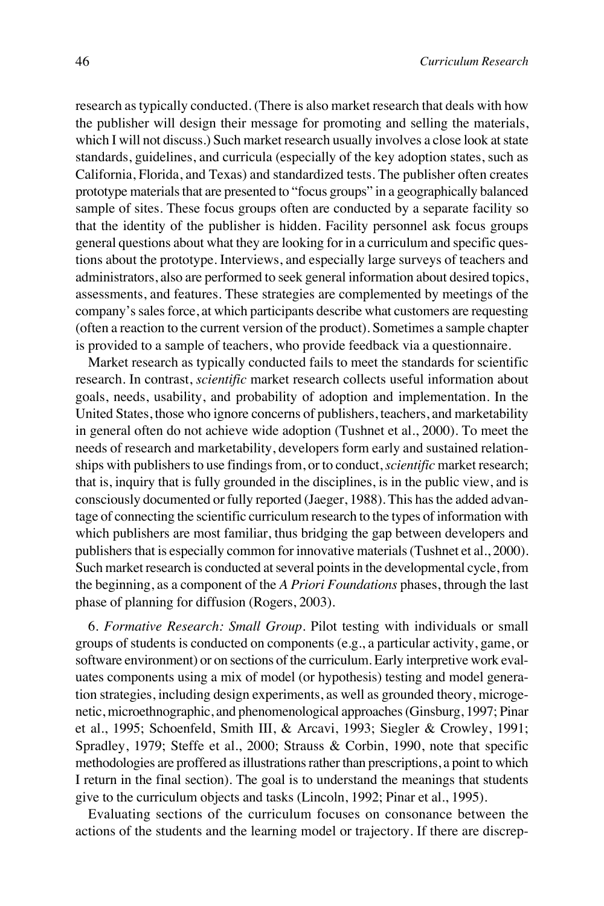research as typically conducted. (There is also market research that deals with how the publisher will design their message for promoting and selling the materials, which I will not discuss.) Such market research usually involves a close look at state standards, guidelines, and curricula (especially of the key adoption states, such as California, Florida, and Texas) and standardized tests. The publisher often creates prototype materials that are presented to "focus groups" in a geographically balanced sample of sites. These focus groups often are conducted by a separate facility so that the identity of the publisher is hidden. Facility personnel ask focus groups general questions about what they are looking for in a curriculum and specific questions about the prototype. Interviews, and especially large surveys of teachers and administrators, also are performed to seek general information about desired topics, assessments, and features. These strategies are complemented by meetings of the company's sales force, at which participants describe what customers are requesting (often a reaction to the current version of the product). Sometimes a sample chapter is provided to a sample of teachers, who provide feedback via a questionnaire.

Market research as typically conducted fails to meet the standards for scientific research. In contrast, *scientific* market research collects useful information about goals, needs, usability, and probability of adoption and implementation. In the United States, those who ignore concerns of publishers, teachers, and marketability in general often do not achieve wide adoption (Tushnet et al., 2000). To meet the needs of research and marketability, developers form early and sustained relationships with publishers to use findings from, or to conduct, *scientific* market research; that is, inquiry that is fully grounded in the disciplines, is in the public view, and is consciously documented or fully reported (Jaeger, 1988). This has the added advantage of connecting the scientific curriculum research to the types of information with which publishers are most familiar, thus bridging the gap between developers and publishers that is especially common for innovative materials (Tushnet et al., 2000). Such market research is conducted at several points in the developmental cycle, from the beginning, as a component of the *A Priori Foundations* phases, through the last phase of planning for diffusion (Rogers, 2003).

6. *Formative Research: Small Group.* Pilot testing with individuals or small groups of students is conducted on components (e.g., a particular activity, game, or software environment) or on sections of the curriculum. Early interpretive work evaluates components using a mix of model (or hypothesis) testing and model generation strategies, including design experiments, as well as grounded theory, microgenetic, microethnographic, and phenomenological approaches (Ginsburg, 1997; Pinar et al., 1995; Schoenfeld, Smith III, & Arcavi, 1993; Siegler & Crowley, 1991; Spradley, 1979; Steffe et al., 2000; Strauss & Corbin, 1990, note that specific methodologies are proffered as illustrations rather than prescriptions, a point to which I return in the final section). The goal is to understand the meanings that students give to the curriculum objects and tasks (Lincoln, 1992; Pinar et al., 1995).

Evaluating sections of the curriculum focuses on consonance between the actions of the students and the learning model or trajectory. If there are discrep-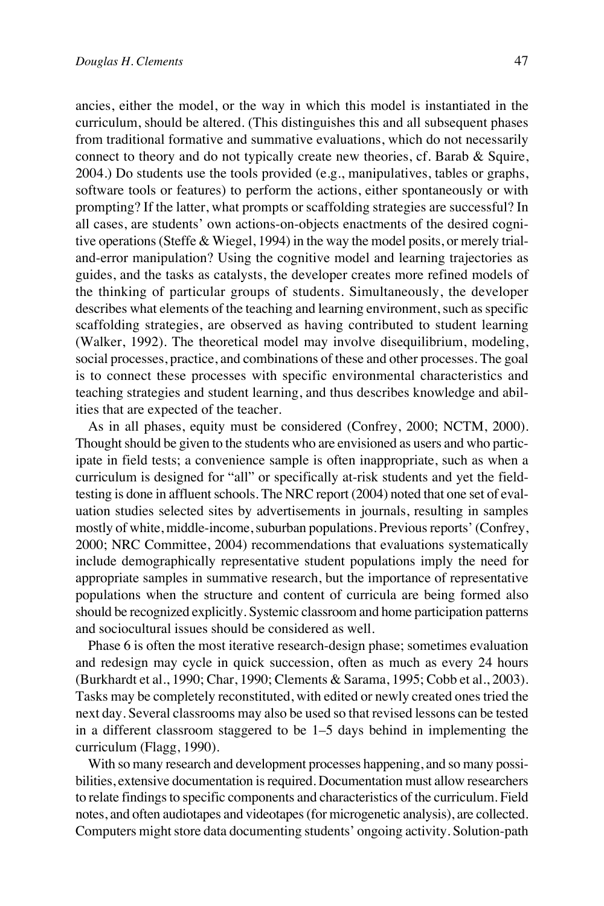ancies, either the model, or the way in which this model is instantiated in the curriculum, should be altered. (This distinguishes this and all subsequent phases from traditional formative and summative evaluations, which do not necessarily connect to theory and do not typically create new theories, cf. Barab & Squire, 2004.) Do students use the tools provided (e.g., manipulatives, tables or graphs, software tools or features) to perform the actions, either spontaneously or with prompting? If the latter, what prompts or scaffolding strategies are successful? In all cases, are students' own actions-on-objects enactments of the desired cognitive operations (Steffe & Wiegel, 1994) in the way the model posits, or merely trialand-error manipulation? Using the cognitive model and learning trajectories as guides, and the tasks as catalysts, the developer creates more refined models of the thinking of particular groups of students. Simultaneously, the developer describes what elements of the teaching and learning environment, such as specific scaffolding strategies, are observed as having contributed to student learning (Walker, 1992). The theoretical model may involve disequilibrium, modeling, social processes, practice, and combinations of these and other processes. The goal is to connect these processes with specific environmental characteristics and teaching strategies and student learning, and thus describes knowledge and abilities that are expected of the teacher.

As in all phases, equity must be considered (Confrey, 2000; NCTM, 2000). Thought should be given to the students who are envisioned as users and who participate in field tests; a convenience sample is often inappropriate, such as when a curriculum is designed for "all" or specifically at-risk students and yet the fieldtesting is done in affluent schools. The NRC report (2004) noted that one set of evaluation studies selected sites by advertisements in journals, resulting in samples mostly of white, middle-income, suburban populations. Previous reports' (Confrey, 2000; NRC Committee, 2004) recommendations that evaluations systematically include demographically representative student populations imply the need for appropriate samples in summative research, but the importance of representative populations when the structure and content of curricula are being formed also should be recognized explicitly. Systemic classroom and home participation patterns and sociocultural issues should be considered as well.

Phase 6 is often the most iterative research-design phase; sometimes evaluation and redesign may cycle in quick succession, often as much as every 24 hours (Burkhardt et al., 1990; Char, 1990; Clements & Sarama, 1995; Cobb et al., 2003). Tasks may be completely reconstituted, with edited or newly created ones tried the next day. Several classrooms may also be used so that revised lessons can be tested in a different classroom staggered to be 1–5 days behind in implementing the curriculum (Flagg, 1990).

With so many research and development processes happening, and so many possibilities, extensive documentation is required. Documentation must allow researchers to relate findings to specific components and characteristics of the curriculum. Field notes, and often audiotapes and videotapes (for microgenetic analysis), are collected. Computers might store data documenting students' ongoing activity. Solution-path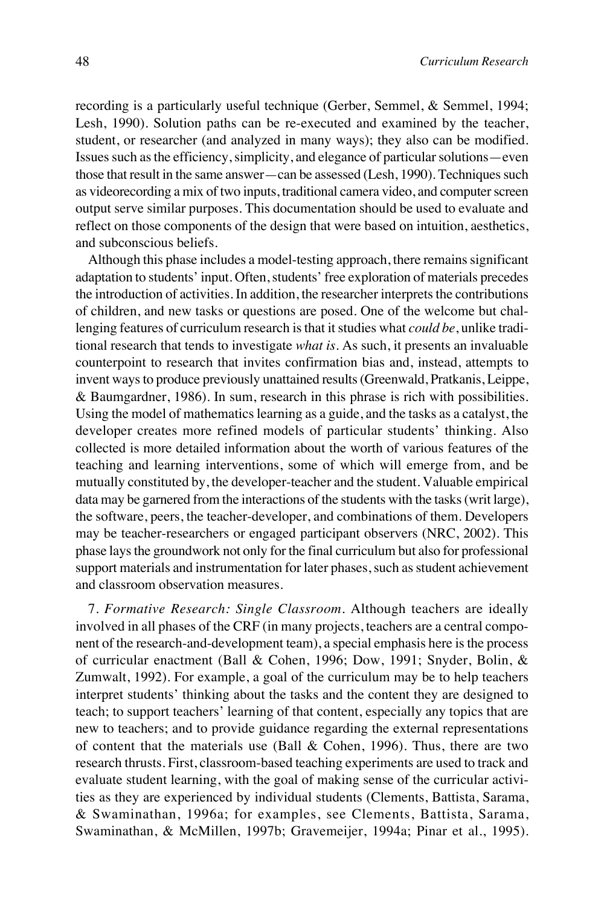recording is a particularly useful technique (Gerber, Semmel, & Semmel, 1994; Lesh, 1990). Solution paths can be re-executed and examined by the teacher, student, or researcher (and analyzed in many ways); they also can be modified. Issues such as the efficiency, simplicity, and elegance of particular solutions—even those that result in the same answer—can be assessed (Lesh, 1990). Techniques such as videorecording a mix of two inputs, traditional camera video, and computer screen output serve similar purposes. This documentation should be used to evaluate and reflect on those components of the design that were based on intuition, aesthetics, and subconscious beliefs.

Although this phase includes a model-testing approach, there remains significant adaptation to students' input. Often, students' free exploration of materials precedes the introduction of activities. In addition, the researcher interprets the contributions of children, and new tasks or questions are posed. One of the welcome but challenging features of curriculum research is that it studies what *could be*, unlike traditional research that tends to investigate *what is*. As such, it presents an invaluable counterpoint to research that invites confirmation bias and, instead, attempts to invent ways to produce previously unattained results (Greenwald, Pratkanis, Leippe, & Baumgardner, 1986). In sum, research in this phrase is rich with possibilities. Using the model of mathematics learning as a guide, and the tasks as a catalyst, the developer creates more refined models of particular students' thinking. Also collected is more detailed information about the worth of various features of the teaching and learning interventions, some of which will emerge from, and be mutually constituted by, the developer-teacher and the student. Valuable empirical data may be garnered from the interactions of the students with the tasks (writ large), the software, peers, the teacher-developer, and combinations of them. Developers may be teacher-researchers or engaged participant observers (NRC, 2002). This phase lays the groundwork not only for the final curriculum but also for professional support materials and instrumentation for later phases, such as student achievement and classroom observation measures.

7. *Formative Research: Single Classroom.* Although teachers are ideally involved in all phases of the CRF (in many projects, teachers are a central component of the research-and-development team), a special emphasis here is the process of curricular enactment (Ball & Cohen, 1996; Dow, 1991; Snyder, Bolin, & Zumwalt, 1992). For example, a goal of the curriculum may be to help teachers interpret students' thinking about the tasks and the content they are designed to teach; to support teachers' learning of that content, especially any topics that are new to teachers; and to provide guidance regarding the external representations of content that the materials use (Ball & Cohen, 1996). Thus, there are two research thrusts. First, classroom-based teaching experiments are used to track and evaluate student learning, with the goal of making sense of the curricular activities as they are experienced by individual students (Clements, Battista, Sarama, & Swaminathan, 1996a; for examples, see Clements, Battista, Sarama, Swaminathan, & McMillen, 1997b; Gravemeijer, 1994a; Pinar et al., 1995).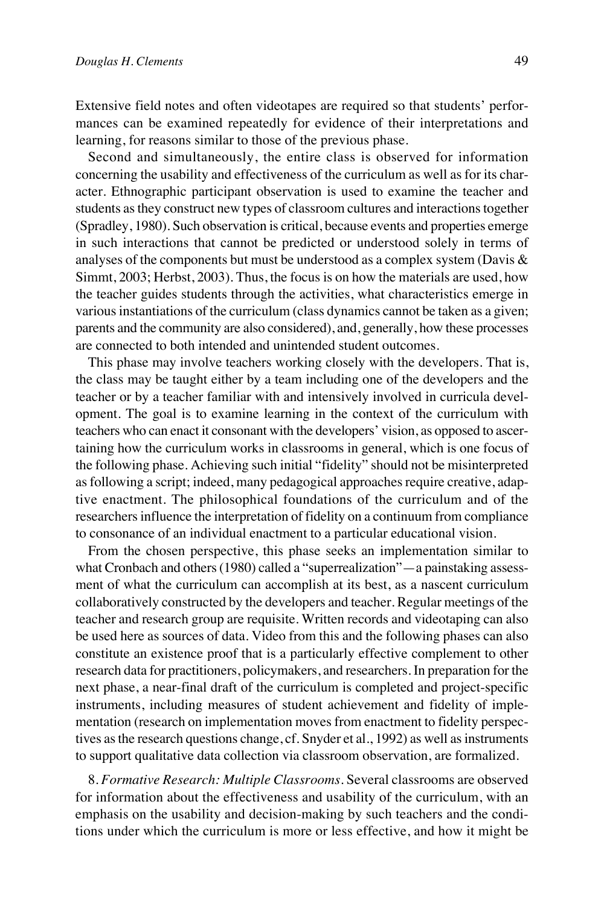Extensive field notes and often videotapes are required so that students' performances can be examined repeatedly for evidence of their interpretations and learning, for reasons similar to those of the previous phase.

Second and simultaneously, the entire class is observed for information concerning the usability and effectiveness of the curriculum as well as for its character. Ethnographic participant observation is used to examine the teacher and students as they construct new types of classroom cultures and interactions together (Spradley, 1980). Such observation is critical, because events and properties emerge in such interactions that cannot be predicted or understood solely in terms of analyses of the components but must be understood as a complex system (Davis  $\&$ Simmt, 2003; Herbst, 2003). Thus, the focus is on how the materials are used, how the teacher guides students through the activities, what characteristics emerge in various instantiations of the curriculum (class dynamics cannot be taken as a given; parents and the community are also considered), and, generally, how these processes are connected to both intended and unintended student outcomes.

This phase may involve teachers working closely with the developers. That is, the class may be taught either by a team including one of the developers and the teacher or by a teacher familiar with and intensively involved in curricula development. The goal is to examine learning in the context of the curriculum with teachers who can enact it consonant with the developers' vision, as opposed to ascertaining how the curriculum works in classrooms in general, which is one focus of the following phase. Achieving such initial "fidelity" should not be misinterpreted as following a script; indeed, many pedagogical approaches require creative, adaptive enactment. The philosophical foundations of the curriculum and of the researchers influence the interpretation of fidelity on a continuum from compliance to consonance of an individual enactment to a particular educational vision.

From the chosen perspective, this phase seeks an implementation similar to what Cronbach and others (1980) called a "superrealization"—a painstaking assessment of what the curriculum can accomplish at its best, as a nascent curriculum collaboratively constructed by the developers and teacher. Regular meetings of the teacher and research group are requisite. Written records and videotaping can also be used here as sources of data. Video from this and the following phases can also constitute an existence proof that is a particularly effective complement to other research data for practitioners, policymakers, and researchers. In preparation for the next phase, a near-final draft of the curriculum is completed and project-specific instruments, including measures of student achievement and fidelity of implementation (research on implementation moves from enactment to fidelity perspectives as the research questions change, cf. Snyder et al., 1992) as well as instruments to support qualitative data collection via classroom observation, are formalized.

8. *Formative Research: Multiple Classrooms.* Several classrooms are observed for information about the effectiveness and usability of the curriculum, with an emphasis on the usability and decision-making by such teachers and the conditions under which the curriculum is more or less effective, and how it might be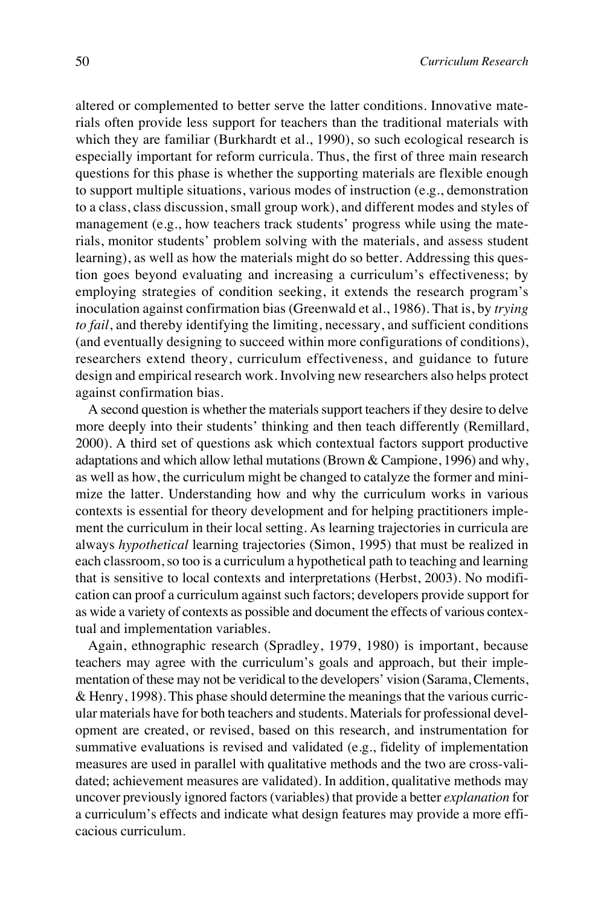altered or complemented to better serve the latter conditions. Innovative materials often provide less support for teachers than the traditional materials with which they are familiar (Burkhardt et al., 1990), so such ecological research is especially important for reform curricula. Thus, the first of three main research questions for this phase is whether the supporting materials are flexible enough to support multiple situations, various modes of instruction (e.g., demonstration to a class, class discussion, small group work), and different modes and styles of management (e.g., how teachers track students' progress while using the materials, monitor students' problem solving with the materials, and assess student learning), as well as how the materials might do so better. Addressing this question goes beyond evaluating and increasing a curriculum's effectiveness; by employing strategies of condition seeking, it extends the research program's inoculation against confirmation bias (Greenwald et al., 1986). That is, by *trying to fail*, and thereby identifying the limiting, necessary, and sufficient conditions (and eventually designing to succeed within more configurations of conditions), researchers extend theory, curriculum effectiveness, and guidance to future design and empirical research work. Involving new researchers also helps protect against confirmation bias.

A second question is whether the materials support teachers if they desire to delve more deeply into their students' thinking and then teach differently (Remillard, 2000). A third set of questions ask which contextual factors support productive adaptations and which allow lethal mutations (Brown  $&$  Campione, 1996) and why, as well as how, the curriculum might be changed to catalyze the former and minimize the latter. Understanding how and why the curriculum works in various contexts is essential for theory development and for helping practitioners implement the curriculum in their local setting. As learning trajectories in curricula are always *hypothetical* learning trajectories (Simon, 1995) that must be realized in each classroom, so too is a curriculum a hypothetical path to teaching and learning that is sensitive to local contexts and interpretations (Herbst, 2003). No modification can proof a curriculum against such factors; developers provide support for as wide a variety of contexts as possible and document the effects of various contextual and implementation variables.

Again, ethnographic research (Spradley, 1979, 1980) is important, because teachers may agree with the curriculum's goals and approach, but their implementation of these may not be veridical to the developers' vision (Sarama, Clements, & Henry, 1998). This phase should determine the meanings that the various curricular materials have for both teachers and students. Materials for professional development are created, or revised, based on this research, and instrumentation for summative evaluations is revised and validated (e.g., fidelity of implementation measures are used in parallel with qualitative methods and the two are cross-validated; achievement measures are validated). In addition, qualitative methods may uncover previously ignored factors (variables) that provide a better *explanation* for a curriculum's effects and indicate what design features may provide a more efficacious curriculum.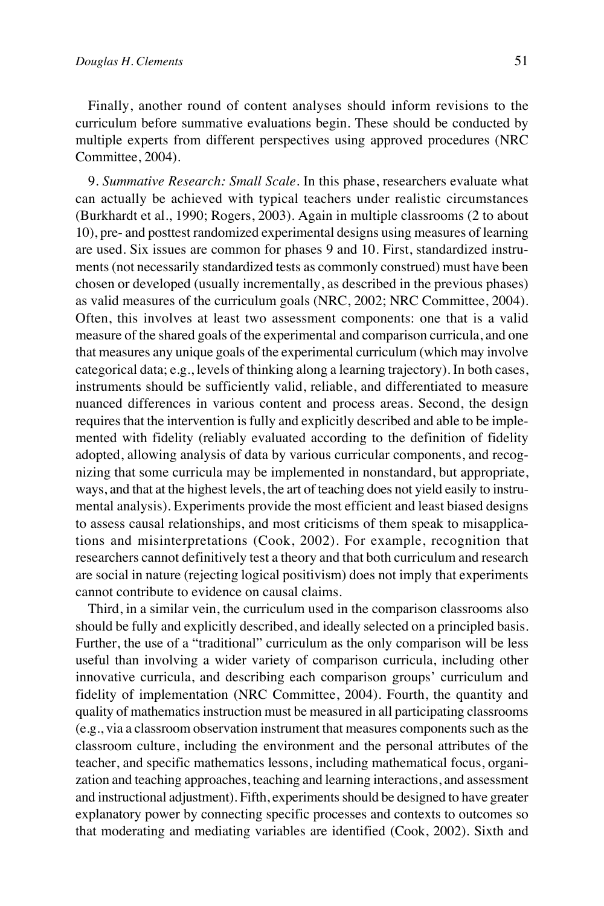Finally, another round of content analyses should inform revisions to the curriculum before summative evaluations begin. These should be conducted by multiple experts from different perspectives using approved procedures (NRC Committee, 2004).

9. *Summative Research: Small Scale.* In this phase, researchers evaluate what can actually be achieved with typical teachers under realistic circumstances (Burkhardt et al., 1990; Rogers, 2003). Again in multiple classrooms (2 to about 10), pre- and posttest randomized experimental designs using measures of learning are used. Six issues are common for phases 9 and 10. First, standardized instruments (not necessarily standardized tests as commonly construed) must have been chosen or developed (usually incrementally, as described in the previous phases) as valid measures of the curriculum goals (NRC, 2002; NRC Committee, 2004). Often, this involves at least two assessment components: one that is a valid measure of the shared goals of the experimental and comparison curricula, and one that measures any unique goals of the experimental curriculum (which may involve categorical data; e.g., levels of thinking along a learning trajectory). In both cases, instruments should be sufficiently valid, reliable, and differentiated to measure nuanced differences in various content and process areas. Second, the design requires that the intervention is fully and explicitly described and able to be implemented with fidelity (reliably evaluated according to the definition of fidelity adopted, allowing analysis of data by various curricular components, and recognizing that some curricula may be implemented in nonstandard, but appropriate, ways, and that at the highest levels, the art of teaching does not yield easily to instrumental analysis). Experiments provide the most efficient and least biased designs to assess causal relationships, and most criticisms of them speak to misapplications and misinterpretations (Cook, 2002). For example, recognition that researchers cannot definitively test a theory and that both curriculum and research are social in nature (rejecting logical positivism) does not imply that experiments cannot contribute to evidence on causal claims.

Third, in a similar vein, the curriculum used in the comparison classrooms also should be fully and explicitly described, and ideally selected on a principled basis. Further, the use of a "traditional" curriculum as the only comparison will be less useful than involving a wider variety of comparison curricula, including other innovative curricula, and describing each comparison groups' curriculum and fidelity of implementation (NRC Committee, 2004). Fourth, the quantity and quality of mathematics instruction must be measured in all participating classrooms (e.g., via a classroom observation instrument that measures components such as the classroom culture, including the environment and the personal attributes of the teacher, and specific mathematics lessons, including mathematical focus, organization and teaching approaches, teaching and learning interactions, and assessment and instructional adjustment). Fifth, experiments should be designed to have greater explanatory power by connecting specific processes and contexts to outcomes so that moderating and mediating variables are identified (Cook, 2002). Sixth and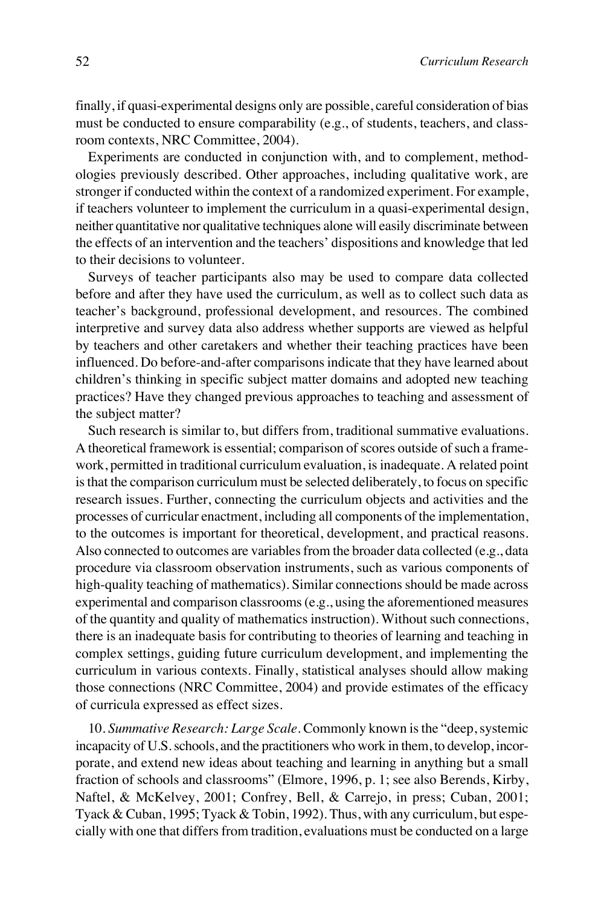finally, if quasi-experimental designs only are possible, careful consideration of bias must be conducted to ensure comparability (e.g., of students, teachers, and classroom contexts, NRC Committee, 2004).

Experiments are conducted in conjunction with, and to complement, methodologies previously described. Other approaches, including qualitative work, are stronger if conducted within the context of a randomized experiment. For example, if teachers volunteer to implement the curriculum in a quasi-experimental design, neither quantitative nor qualitative techniques alone will easily discriminate between the effects of an intervention and the teachers' dispositions and knowledge that led to their decisions to volunteer.

Surveys of teacher participants also may be used to compare data collected before and after they have used the curriculum, as well as to collect such data as teacher's background, professional development, and resources. The combined interpretive and survey data also address whether supports are viewed as helpful by teachers and other caretakers and whether their teaching practices have been influenced. Do before-and-after comparisons indicate that they have learned about children's thinking in specific subject matter domains and adopted new teaching practices? Have they changed previous approaches to teaching and assessment of the subject matter?

Such research is similar to, but differs from, traditional summative evaluations. A theoretical framework is essential; comparison of scores outside of such a framework, permitted in traditional curriculum evaluation, is inadequate. A related point is that the comparison curriculum must be selected deliberately, to focus on specific research issues. Further, connecting the curriculum objects and activities and the processes of curricular enactment, including all components of the implementation, to the outcomes is important for theoretical, development, and practical reasons. Also connected to outcomes are variables from the broader data collected (e.g., data procedure via classroom observation instruments, such as various components of high-quality teaching of mathematics). Similar connections should be made across experimental and comparison classrooms (e.g., using the aforementioned measures of the quantity and quality of mathematics instruction). Without such connections, there is an inadequate basis for contributing to theories of learning and teaching in complex settings, guiding future curriculum development, and implementing the curriculum in various contexts. Finally, statistical analyses should allow making those connections (NRC Committee, 2004) and provide estimates of the efficacy of curricula expressed as effect sizes.

10. *Summative Research: Large Scale.* Commonly known is the "deep, systemic incapacity of U.S. schools, and the practitioners who work in them, to develop, incorporate, and extend new ideas about teaching and learning in anything but a small fraction of schools and classrooms" (Elmore, 1996, p. 1; see also Berends, Kirby, Naftel, & McKelvey, 2001; Confrey, Bell, & Carrejo, in press; Cuban, 2001; Tyack & Cuban, 1995; Tyack & Tobin, 1992). Thus, with any curriculum, but especially with one that differs from tradition, evaluations must be conducted on a large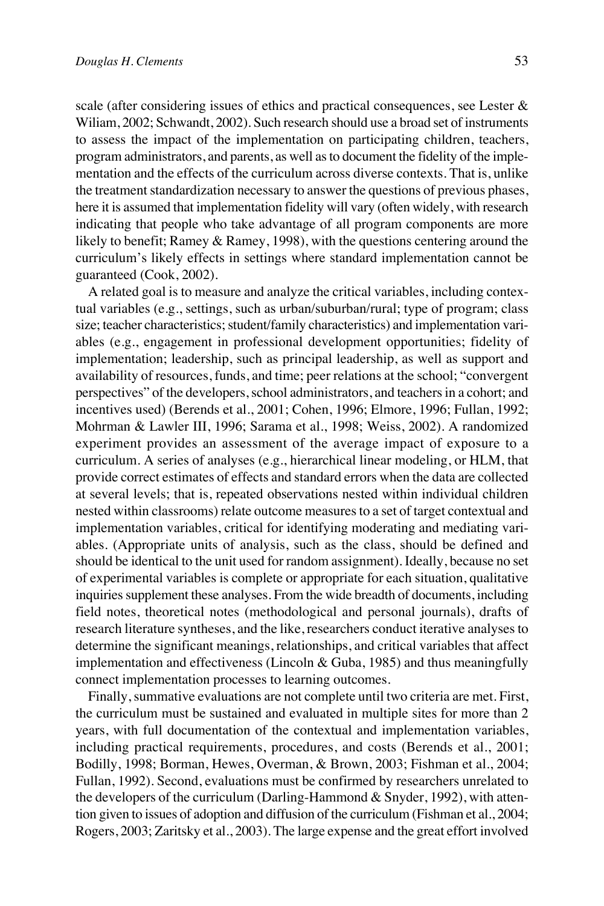scale (after considering issues of ethics and practical consequences, see Lester & Wiliam, 2002; Schwandt, 2002). Such research should use a broad set of instruments to assess the impact of the implementation on participating children, teachers, program administrators, and parents, as well as to document the fidelity of the implementation and the effects of the curriculum across diverse contexts. That is, unlike the treatment standardization necessary to answer the questions of previous phases, here it is assumed that implementation fidelity will vary (often widely, with research indicating that people who take advantage of all program components are more likely to benefit; Ramey & Ramey, 1998), with the questions centering around the curriculum's likely effects in settings where standard implementation cannot be guaranteed (Cook, 2002).

A related goal is to measure and analyze the critical variables, including contextual variables (e.g., settings, such as urban/suburban/rural; type of program; class size; teacher characteristics; student/family characteristics) and implementation variables (e.g., engagement in professional development opportunities; fidelity of implementation; leadership, such as principal leadership, as well as support and availability of resources, funds, and time; peer relations at the school; "convergent perspectives" of the developers, school administrators, and teachers in a cohort; and incentives used) (Berends et al., 2001; Cohen, 1996; Elmore, 1996; Fullan, 1992; Mohrman & Lawler III, 1996; Sarama et al., 1998; Weiss, 2002). A randomized experiment provides an assessment of the average impact of exposure to a curriculum. A series of analyses (e.g., hierarchical linear modeling, or HLM, that provide correct estimates of effects and standard errors when the data are collected at several levels; that is, repeated observations nested within individual children nested within classrooms) relate outcome measures to a set of target contextual and implementation variables, critical for identifying moderating and mediating variables. (Appropriate units of analysis, such as the class, should be defined and should be identical to the unit used for random assignment). Ideally, because no set of experimental variables is complete or appropriate for each situation, qualitative inquiries supplement these analyses. From the wide breadth of documents, including field notes, theoretical notes (methodological and personal journals), drafts of research literature syntheses, and the like, researchers conduct iterative analyses to determine the significant meanings, relationships, and critical variables that affect implementation and effectiveness (Lincoln  $\&$  Guba, 1985) and thus meaningfully connect implementation processes to learning outcomes.

Finally, summative evaluations are not complete until two criteria are met. First, the curriculum must be sustained and evaluated in multiple sites for more than 2 years, with full documentation of the contextual and implementation variables, including practical requirements, procedures, and costs (Berends et al., 2001; Bodilly, 1998; Borman, Hewes, Overman, & Brown, 2003; Fishman et al., 2004; Fullan, 1992). Second, evaluations must be confirmed by researchers unrelated to the developers of the curriculum (Darling-Hammond & Snyder, 1992), with attention given to issues of adoption and diffusion of the curriculum (Fishman et al., 2004; Rogers, 2003; Zaritsky et al., 2003). The large expense and the great effort involved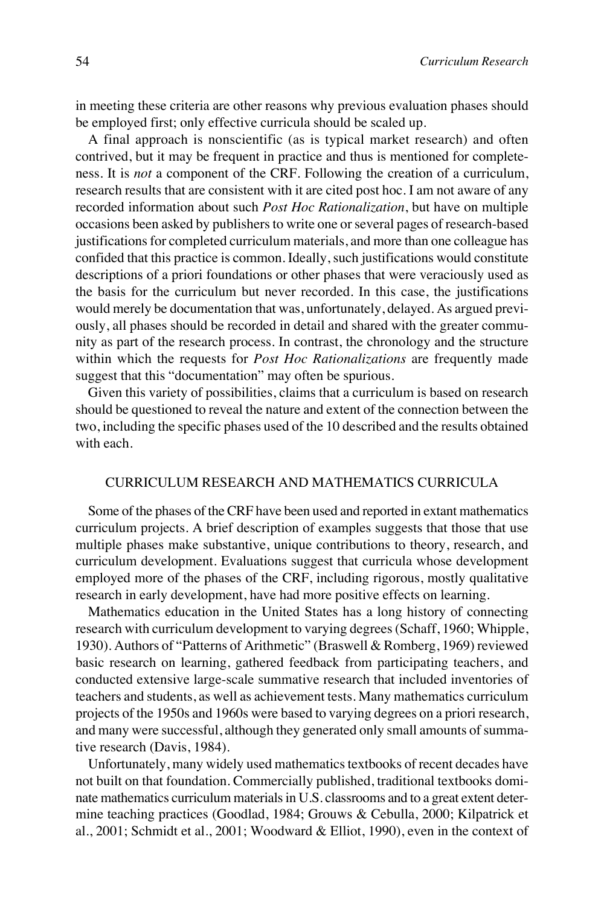in meeting these criteria are other reasons why previous evaluation phases should be employed first; only effective curricula should be scaled up.

A final approach is nonscientific (as is typical market research) and often contrived, but it may be frequent in practice and thus is mentioned for completeness. It is *not* a component of the CRF. Following the creation of a curriculum, research results that are consistent with it are cited post hoc. I am not aware of any recorded information about such *Post Hoc Rationalization*, but have on multiple occasions been asked by publishers to write one or several pages of research-based justifications for completed curriculum materials, and more than one colleague has confided that this practice is common. Ideally, such justifications would constitute descriptions of a priori foundations or other phases that were veraciously used as the basis for the curriculum but never recorded. In this case, the justifications would merely be documentation that was, unfortunately, delayed. As argued previously, all phases should be recorded in detail and shared with the greater community as part of the research process. In contrast, the chronology and the structure within which the requests for *Post Hoc Rationalizations* are frequently made suggest that this "documentation" may often be spurious.

Given this variety of possibilities, claims that a curriculum is based on research should be questioned to reveal the nature and extent of the connection between the two, including the specific phases used of the 10 described and the results obtained with each.

## CURRICULUM RESEARCH AND MATHEMATICS CURRICULA

Some of the phases of the CRF have been used and reported in extant mathematics curriculum projects. A brief description of examples suggests that those that use multiple phases make substantive, unique contributions to theory, research, and curriculum development. Evaluations suggest that curricula whose development employed more of the phases of the CRF, including rigorous, mostly qualitative research in early development, have had more positive effects on learning.

Mathematics education in the United States has a long history of connecting research with curriculum development to varying degrees (Schaff, 1960; Whipple, 1930). Authors of "Patterns of Arithmetic" (Braswell & Romberg, 1969) reviewed basic research on learning, gathered feedback from participating teachers, and conducted extensive large-scale summative research that included inventories of teachers and students, as well as achievement tests. Many mathematics curriculum projects of the 1950s and 1960s were based to varying degrees on a priori research, and many were successful, although they generated only small amounts of summative research (Davis, 1984).

Unfortunately, many widely used mathematics textbooks of recent decades have not built on that foundation. Commercially published, traditional textbooks dominate mathematics curriculum materials in U.S. classrooms and to a great extent determine teaching practices (Goodlad, 1984; Grouws & Cebulla, 2000; Kilpatrick et al., 2001; Schmidt et al., 2001; Woodward & Elliot, 1990), even in the context of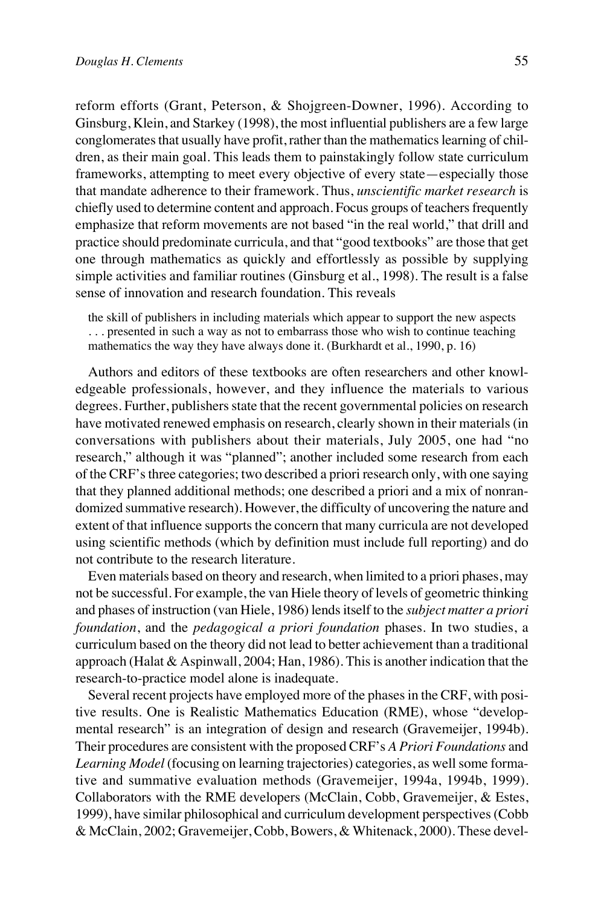reform efforts (Grant, Peterson, & Shojgreen-Downer, 1996). According to Ginsburg, Klein, and Starkey (1998), the most influential publishers are a few large conglomerates that usually have profit, rather than the mathematics learning of children, as their main goal. This leads them to painstakingly follow state curriculum frameworks, attempting to meet every objective of every state—especially those that mandate adherence to their framework. Thus, *unscientific market research* is chiefly used to determine content and approach. Focus groups of teachers frequently emphasize that reform movements are not based "in the real world," that drill and practice should predominate curricula, and that "good textbooks" are those that get one through mathematics as quickly and effortlessly as possible by supplying simple activities and familiar routines (Ginsburg et al., 1998). The result is a false sense of innovation and research foundation. This reveals

the skill of publishers in including materials which appear to support the new aspects . . . presented in such a way as not to embarrass those who wish to continue teaching mathematics the way they have always done it. (Burkhardt et al., 1990, p. 16)

Authors and editors of these textbooks are often researchers and other knowledgeable professionals, however, and they influence the materials to various degrees. Further, publishers state that the recent governmental policies on research have motivated renewed emphasis on research, clearly shown in their materials (in conversations with publishers about their materials, July 2005, one had "no research," although it was "planned"; another included some research from each of the CRF's three categories; two described a priori research only, with one saying that they planned additional methods; one described a priori and a mix of nonrandomized summative research). However, the difficulty of uncovering the nature and extent of that influence supports the concern that many curricula are not developed using scientific methods (which by definition must include full reporting) and do not contribute to the research literature.

Even materials based on theory and research, when limited to a priori phases, may not be successful. For example, the van Hiele theory of levels of geometric thinking and phases of instruction (van Hiele, 1986) lends itself to the *subject matter a priori foundation*, and the *pedagogical a priori foundation* phases. In two studies, a curriculum based on the theory did not lead to better achievement than a traditional approach (Halat & Aspinwall, 2004; Han, 1986). This is another indication that the research-to-practice model alone is inadequate.

Several recent projects have employed more of the phases in the CRF, with positive results. One is Realistic Mathematics Education (RME), whose "developmental research" is an integration of design and research (Gravemeijer, 1994b). Their procedures are consistent with the proposed CRF's *A Priori Foundations* and *Learning Model* (focusing on learning trajectories) categories, as well some formative and summative evaluation methods (Gravemeijer, 1994a, 1994b, 1999). Collaborators with the RME developers (McClain, Cobb, Gravemeijer, & Estes, 1999), have similar philosophical and curriculum development perspectives (Cobb & McClain, 2002; Gravemeijer, Cobb, Bowers, & Whitenack, 2000). These devel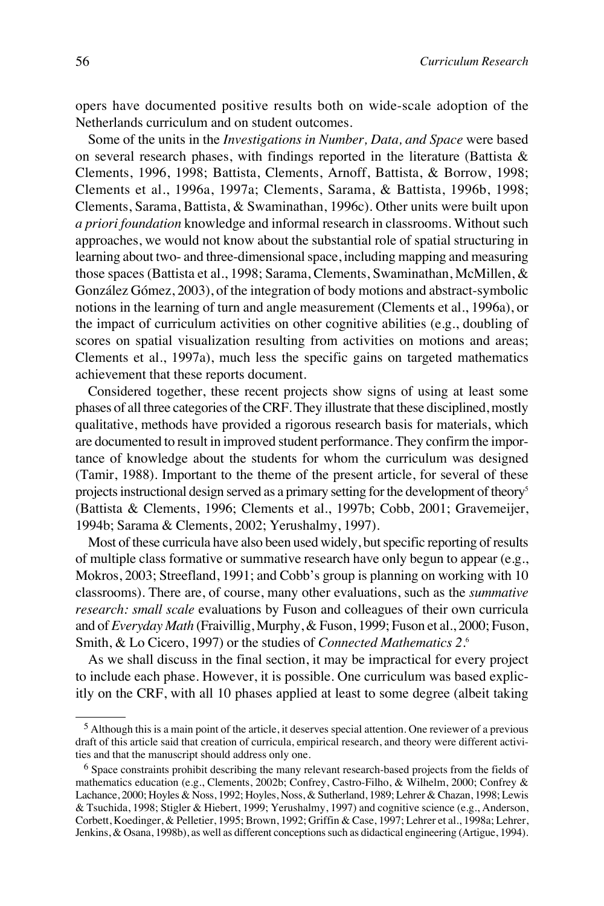opers have documented positive results both on wide-scale adoption of the Netherlands curriculum and on student outcomes.

Some of the units in the *Investigations in Number, Data, and Space* were based on several research phases, with findings reported in the literature (Battista & Clements, 1996, 1998; Battista, Clements, Arnoff, Battista, & Borrow, 1998; Clements et al., 1996a, 1997a; Clements, Sarama, & Battista, 1996b, 1998; Clements, Sarama, Battista, & Swaminathan, 1996c). Other units were built upon *a priori foundation* knowledge and informal research in classrooms. Without such approaches, we would not know about the substantial role of spatial structuring in learning about two- and three-dimensional space, including mapping and measuring those spaces (Battista et al., 1998; Sarama, Clements, Swaminathan, McMillen, & González Gómez, 2003), of the integration of body motions and abstract-symbolic notions in the learning of turn and angle measurement (Clements et al., 1996a), or the impact of curriculum activities on other cognitive abilities (e.g., doubling of scores on spatial visualization resulting from activities on motions and areas; Clements et al., 1997a), much less the specific gains on targeted mathematics achievement that these reports document.

Considered together, these recent projects show signs of using at least some phases of all three categories of the CRF. They illustrate that these disciplined, mostly qualitative, methods have provided a rigorous research basis for materials, which are documented to result in improved student performance. They confirm the importance of knowledge about the students for whom the curriculum was designed (Tamir, 1988). Important to the theme of the present article, for several of these projects instructional design served as a primary setting for the development of theory<sup>5</sup> (Battista & Clements, 1996; Clements et al., 1997b; Cobb, 2001; Gravemeijer, 1994b; Sarama & Clements, 2002; Yerushalmy, 1997).

Most of these curricula have also been used widely, but specific reporting of results of multiple class formative or summative research have only begun to appear (e.g., Mokros, 2003; Streefland, 1991; and Cobb's group is planning on working with 10 classrooms). There are, of course, many other evaluations, such as the *summative research: small scale* evaluations by Fuson and colleagues of their own curricula and of *Everyday Math* (Fraivillig, Murphy, & Fuson, 1999; Fuson et al., 2000; Fuson, Smith, & Lo Cicero, 1997) or the studies of *Connected Mathematics 2*. 6

As we shall discuss in the final section, it may be impractical for every project to include each phase. However, it is possible. One curriculum was based explicitly on the CRF, with all 10 phases applied at least to some degree (albeit taking

<sup>5</sup> Although this is a main point of the article, it deserves special attention. One reviewer of a previous draft of this article said that creation of curricula, empirical research, and theory were different activities and that the manuscript should address only one.

<sup>6</sup> Space constraints prohibit describing the many relevant research-based projects from the fields of mathematics education (e.g., Clements, 2002b; Confrey, Castro-Filho, & Wilhelm, 2000; Confrey & Lachance, 2000; Hoyles & Noss, 1992; Hoyles, Noss, & Sutherland, 1989; Lehrer & Chazan, 1998; Lewis & Tsuchida, 1998; Stigler & Hiebert, 1999; Yerushalmy, 1997) and cognitive science (e.g., Anderson, Corbett, Koedinger, & Pelletier, 1995; Brown, 1992; Griffin & Case, 1997; Lehrer et al., 1998a; Lehrer, Jenkins, & Osana, 1998b), as well as different conceptions such as didactical engineering (Artigue, 1994).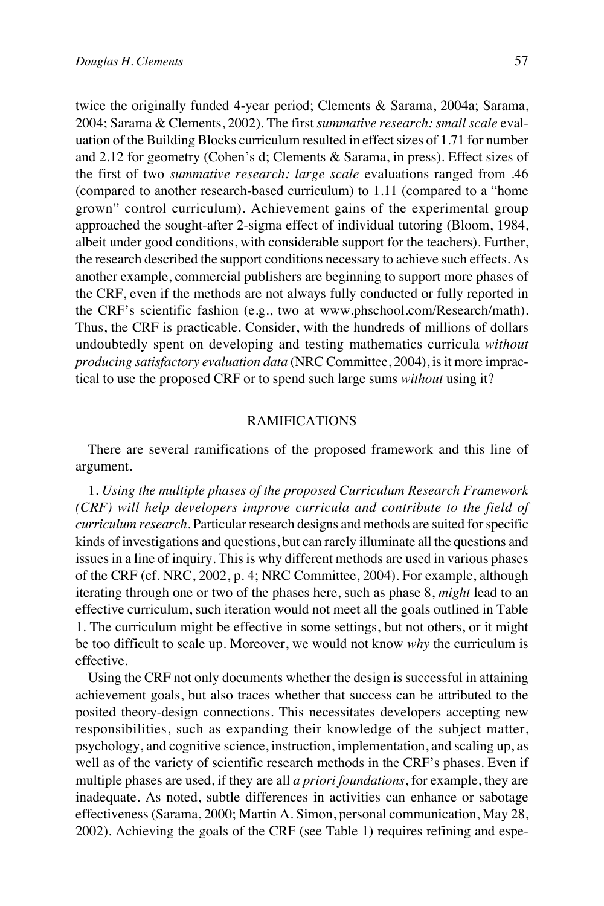twice the originally funded 4-year period; Clements & Sarama, 2004a; Sarama, 2004; Sarama & Clements, 2002). The first *summative research: small scale* evaluation of the Building Blocks curriculum resulted in effect sizes of 1.71 for number and 2.12 for geometry (Cohen's d; Clements & Sarama, in press). Effect sizes of the first of two *summative research: large scale* evaluations ranged from .46 (compared to another research-based curriculum) to 1.11 (compared to a "home grown" control curriculum). Achievement gains of the experimental group approached the sought-after 2-sigma effect of individual tutoring (Bloom, 1984, albeit under good conditions, with considerable support for the teachers). Further, the research described the support conditions necessary to achieve such effects. As another example, commercial publishers are beginning to support more phases of the CRF, even if the methods are not always fully conducted or fully reported in the CRF's scientific fashion (e.g., two at www.phschool.com/Research/math). Thus, the CRF is practicable. Consider, with the hundreds of millions of dollars undoubtedly spent on developing and testing mathematics curricula *without producing satisfactory evaluation data* (NRC Committee, 2004), is it more impractical to use the proposed CRF or to spend such large sums *without* using it?

# RAMIFICATIONS

There are several ramifications of the proposed framework and this line of argument.

1. *Using the multiple phases of the proposed Curriculum Research Framework (CRF) will help developers improve curricula and contribute to the field of curriculum research.* Particular research designs and methods are suited for specific kinds of investigations and questions, but can rarely illuminate all the questions and issues in a line of inquiry. This is why different methods are used in various phases of the CRF (cf. NRC, 2002, p. 4; NRC Committee, 2004). For example, although iterating through one or two of the phases here, such as phase 8, *might* lead to an effective curriculum, such iteration would not meet all the goals outlined in Table 1. The curriculum might be effective in some settings, but not others, or it might be too difficult to scale up. Moreover, we would not know *why* the curriculum is effective.

Using the CRF not only documents whether the design is successful in attaining achievement goals, but also traces whether that success can be attributed to the posited theory-design connections. This necessitates developers accepting new responsibilities, such as expanding their knowledge of the subject matter, psychology, and cognitive science, instruction, implementation, and scaling up, as well as of the variety of scientific research methods in the CRF's phases. Even if multiple phases are used, if they are all *a priori foundations*, for example, they are inadequate. As noted, subtle differences in activities can enhance or sabotage effectiveness (Sarama, 2000; Martin A. Simon, personal communication, May 28, 2002). Achieving the goals of the CRF (see Table 1) requires refining and espe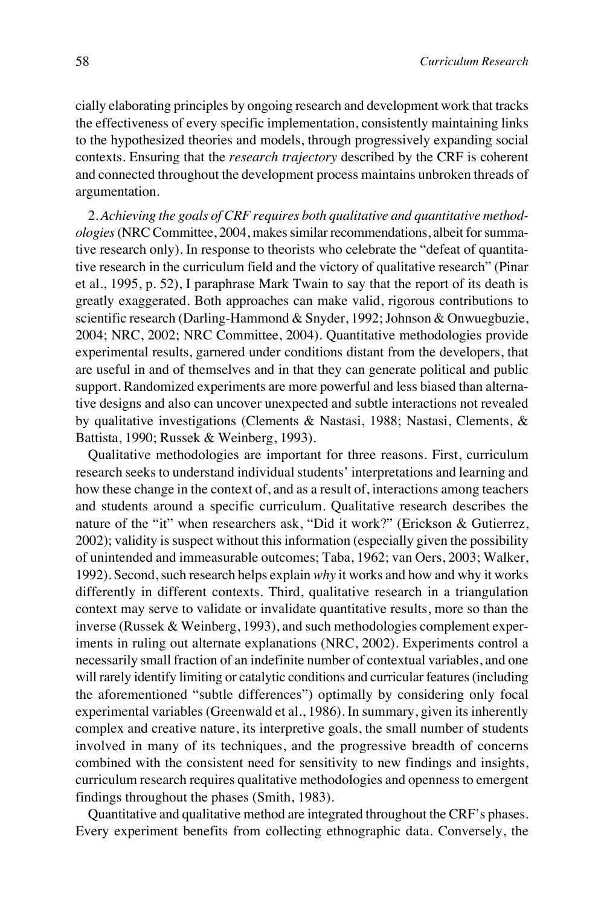cially elaborating principles by ongoing research and development work that tracks the effectiveness of every specific implementation, consistently maintaining links to the hypothesized theories and models, through progressively expanding social contexts. Ensuring that the *research trajectory* described by the CRF is coherent and connected throughout the development process maintains unbroken threads of argumentation.

2. *Achieving the goals of CRF requires both qualitative and quantitative methodologies* (NRC Committee, 2004, makes similar recommendations, albeit for summative research only). In response to theorists who celebrate the "defeat of quantitative research in the curriculum field and the victory of qualitative research" (Pinar et al., 1995, p. 52), I paraphrase Mark Twain to say that the report of its death is greatly exaggerated. Both approaches can make valid, rigorous contributions to scientific research (Darling-Hammond & Snyder, 1992; Johnson & Onwuegbuzie, 2004; NRC, 2002; NRC Committee, 2004). Quantitative methodologies provide experimental results, garnered under conditions distant from the developers, that are useful in and of themselves and in that they can generate political and public support. Randomized experiments are more powerful and less biased than alternative designs and also can uncover unexpected and subtle interactions not revealed by qualitative investigations (Clements & Nastasi, 1988; Nastasi, Clements, & Battista, 1990; Russek & Weinberg, 1993).

Qualitative methodologies are important for three reasons. First, curriculum research seeks to understand individual students' interpretations and learning and how these change in the context of, and as a result of, interactions among teachers and students around a specific curriculum. Qualitative research describes the nature of the "it" when researchers ask, "Did it work?" (Erickson & Gutierrez, 2002); validity is suspect without this information (especially given the possibility of unintended and immeasurable outcomes; Taba, 1962; van Oers, 2003; Walker, 1992). Second, such research helps explain *why* it works and how and why it works differently in different contexts. Third, qualitative research in a triangulation context may serve to validate or invalidate quantitative results, more so than the inverse (Russek & Weinberg, 1993), and such methodologies complement experiments in ruling out alternate explanations (NRC, 2002). Experiments control a necessarily small fraction of an indefinite number of contextual variables, and one will rarely identify limiting or catalytic conditions and curricular features (including the aforementioned "subtle differences") optimally by considering only focal experimental variables (Greenwald et al., 1986). In summary, given its inherently complex and creative nature, its interpretive goals, the small number of students involved in many of its techniques, and the progressive breadth of concerns combined with the consistent need for sensitivity to new findings and insights, curriculum research requires qualitative methodologies and openness to emergent findings throughout the phases (Smith, 1983).

Quantitative and qualitative method are integrated throughout the CRF's phases. Every experiment benefits from collecting ethnographic data. Conversely, the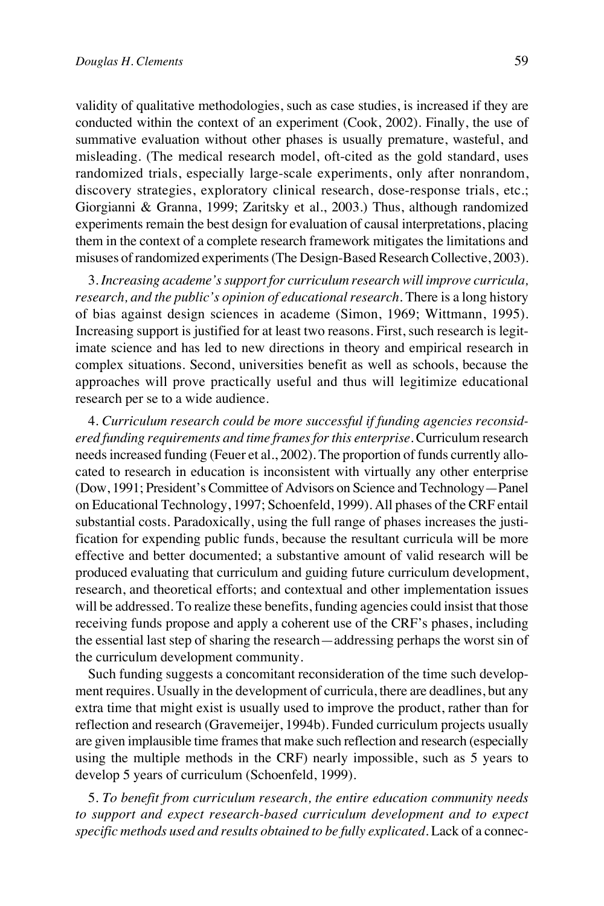validity of qualitative methodologies, such as case studies, is increased if they are conducted within the context of an experiment (Cook, 2002). Finally, the use of summative evaluation without other phases is usually premature, wasteful, and misleading. (The medical research model, oft-cited as the gold standard, uses randomized trials, especially large-scale experiments, only after nonrandom, discovery strategies, exploratory clinical research, dose-response trials, etc.; Giorgianni & Granna, 1999; Zaritsky et al., 2003.) Thus, although randomized experiments remain the best design for evaluation of causal interpretations, placing them in the context of a complete research framework mitigates the limitations and misuses of randomized experiments (The Design-Based Research Collective, 2003).

3. *Increasing academe's support for curriculum research will improve curricula, research, and the public's opinion of educational research.* There is a long history of bias against design sciences in academe (Simon, 1969; Wittmann, 1995). Increasing support is justified for at least two reasons. First, such research is legitimate science and has led to new directions in theory and empirical research in complex situations. Second, universities benefit as well as schools, because the approaches will prove practically useful and thus will legitimize educational research per se to a wide audience.

4. *Curriculum research could be more successful if funding agencies reconsidered funding requirements and time frames for this enterprise.* Curriculum research needs increased funding (Feuer et al., 2002). The proportion of funds currently allocated to research in education is inconsistent with virtually any other enterprise (Dow, 1991; President's Committee of Advisors on Science and Technology—Panel on Educational Technology, 1997; Schoenfeld, 1999). All phases of the CRF entail substantial costs. Paradoxically, using the full range of phases increases the justification for expending public funds, because the resultant curricula will be more effective and better documented; a substantive amount of valid research will be produced evaluating that curriculum and guiding future curriculum development, research, and theoretical efforts; and contextual and other implementation issues will be addressed. To realize these benefits, funding agencies could insist that those receiving funds propose and apply a coherent use of the CRF's phases, including the essential last step of sharing the research—addressing perhaps the worst sin of the curriculum development community.

Such funding suggests a concomitant reconsideration of the time such development requires. Usually in the development of curricula, there are deadlines, but any extra time that might exist is usually used to improve the product, rather than for reflection and research (Gravemeijer, 1994b). Funded curriculum projects usually are given implausible time frames that make such reflection and research (especially using the multiple methods in the CRF) nearly impossible, such as 5 years to develop 5 years of curriculum (Schoenfeld, 1999).

5. *To benefit from curriculum research, the entire education community needs to support and expect research-based curriculum development and to expect specific methods used and results obtained to be fully explicated.* Lack of a connec-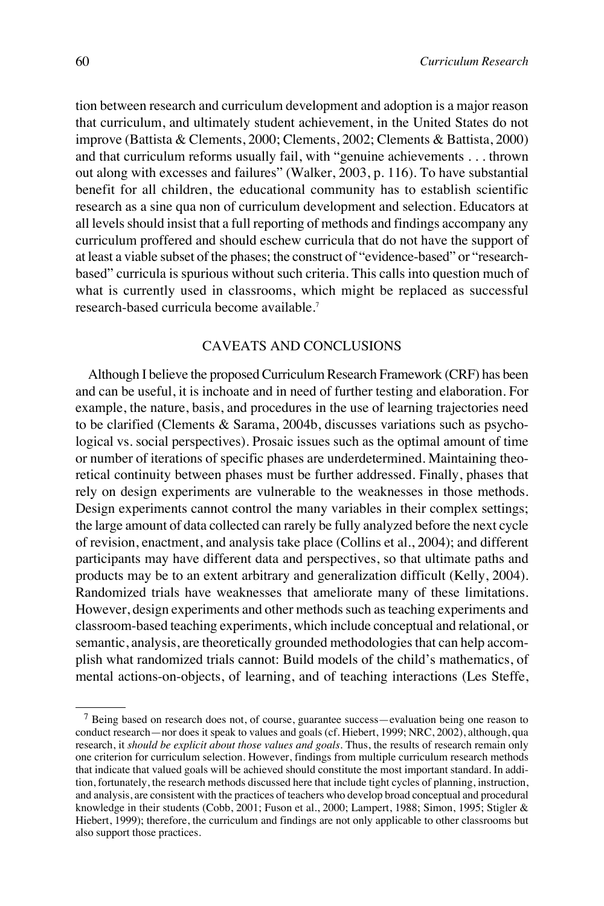tion between research and curriculum development and adoption is a major reason that curriculum, and ultimately student achievement, in the United States do not improve (Battista & Clements, 2000; Clements, 2002; Clements & Battista, 2000) and that curriculum reforms usually fail, with "genuine achievements . . . thrown out along with excesses and failures" (Walker, 2003, p. 116). To have substantial benefit for all children, the educational community has to establish scientific research as a sine qua non of curriculum development and selection. Educators at all levels should insist that a full reporting of methods and findings accompany any curriculum proffered and should eschew curricula that do not have the support of at least a viable subset of the phases; the construct of "evidence-based" or "researchbased" curricula is spurious without such criteria. This calls into question much of what is currently used in classrooms, which might be replaced as successful research-based curricula become available.7

# CAVEATS AND CONCLUSIONS

Although I believe the proposed Curriculum Research Framework (CRF) has been and can be useful, it is inchoate and in need of further testing and elaboration. For example, the nature, basis, and procedures in the use of learning trajectories need to be clarified (Clements & Sarama, 2004b, discusses variations such as psychological vs. social perspectives). Prosaic issues such as the optimal amount of time or number of iterations of specific phases are underdetermined. Maintaining theoretical continuity between phases must be further addressed. Finally, phases that rely on design experiments are vulnerable to the weaknesses in those methods. Design experiments cannot control the many variables in their complex settings; the large amount of data collected can rarely be fully analyzed before the next cycle of revision, enactment, and analysis take place (Collins et al., 2004); and different participants may have different data and perspectives, so that ultimate paths and products may be to an extent arbitrary and generalization difficult (Kelly, 2004). Randomized trials have weaknesses that ameliorate many of these limitations. However, design experiments and other methods such as teaching experiments and classroom-based teaching experiments, which include conceptual and relational, or semantic, analysis, are theoretically grounded methodologies that can help accomplish what randomized trials cannot: Build models of the child's mathematics, of mental actions-on-objects, of learning, and of teaching interactions (Les Steffe,

<sup>7</sup> Being based on research does not, of course, guarantee success—evaluation being one reason to conduct research—nor does it speak to values and goals (cf. Hiebert, 1999; NRC, 2002), although, qua research, it *should be explicit about those values and goals*. Thus, the results of research remain only one criterion for curriculum selection. However, findings from multiple curriculum research methods that indicate that valued goals will be achieved should constitute the most important standard. In addition, fortunately, the research methods discussed here that include tight cycles of planning, instruction, and analysis, are consistent with the practices of teachers who develop broad conceptual and procedural knowledge in their students (Cobb, 2001; Fuson et al., 2000; Lampert, 1988; Simon, 1995; Stigler & Hiebert, 1999); therefore, the curriculum and findings are not only applicable to other classrooms but also support those practices.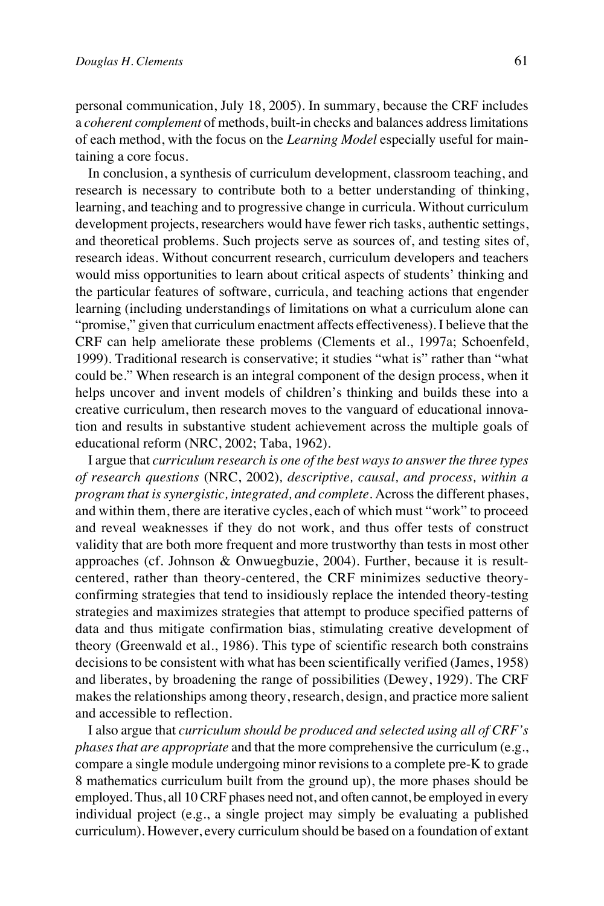personal communication, July 18, 2005). In summary, because the CRF includes a *coherent complement* of methods, built-in checks and balances address limitations of each method, with the focus on the *Learning Model* especially useful for maintaining a core focus.

In conclusion, a synthesis of curriculum development, classroom teaching, and research is necessary to contribute both to a better understanding of thinking, learning, and teaching and to progressive change in curricula. Without curriculum development projects, researchers would have fewer rich tasks, authentic settings, and theoretical problems. Such projects serve as sources of, and testing sites of, research ideas. Without concurrent research, curriculum developers and teachers would miss opportunities to learn about critical aspects of students' thinking and the particular features of software, curricula, and teaching actions that engender learning (including understandings of limitations on what a curriculum alone can "promise," given that curriculum enactment affects effectiveness). I believe that the CRF can help ameliorate these problems (Clements et al., 1997a; Schoenfeld, 1999). Traditional research is conservative; it studies "what is" rather than "what could be." When research is an integral component of the design process, when it helps uncover and invent models of children's thinking and builds these into a creative curriculum, then research moves to the vanguard of educational innovation and results in substantive student achievement across the multiple goals of educational reform (NRC, 2002; Taba, 1962).

I argue that *curriculum research is one of the best ways to answer the three types of research questions* (NRC, 2002)*, descriptive, causal, and process, within a program that is synergistic, integrated, and complete.* Across the different phases, and within them, there are iterative cycles, each of which must "work" to proceed and reveal weaknesses if they do not work, and thus offer tests of construct validity that are both more frequent and more trustworthy than tests in most other approaches (cf. Johnson & Onwuegbuzie, 2004). Further, because it is resultcentered, rather than theory-centered, the CRF minimizes seductive theoryconfirming strategies that tend to insidiously replace the intended theory-testing strategies and maximizes strategies that attempt to produce specified patterns of data and thus mitigate confirmation bias, stimulating creative development of theory (Greenwald et al., 1986). This type of scientific research both constrains decisions to be consistent with what has been scientifically verified (James, 1958) and liberates, by broadening the range of possibilities (Dewey, 1929). The CRF makes the relationships among theory, research, design, and practice more salient and accessible to reflection.

I also argue that *curriculum should be produced and selected using all of CRF's phases that are appropriate* and that the more comprehensive the curriculum (e.g., compare a single module undergoing minor revisions to a complete pre-K to grade 8 mathematics curriculum built from the ground up), the more phases should be employed. Thus, all 10 CRF phases need not, and often cannot, be employed in every individual project (e.g., a single project may simply be evaluating a published curriculum). However, every curriculum should be based on a foundation of extant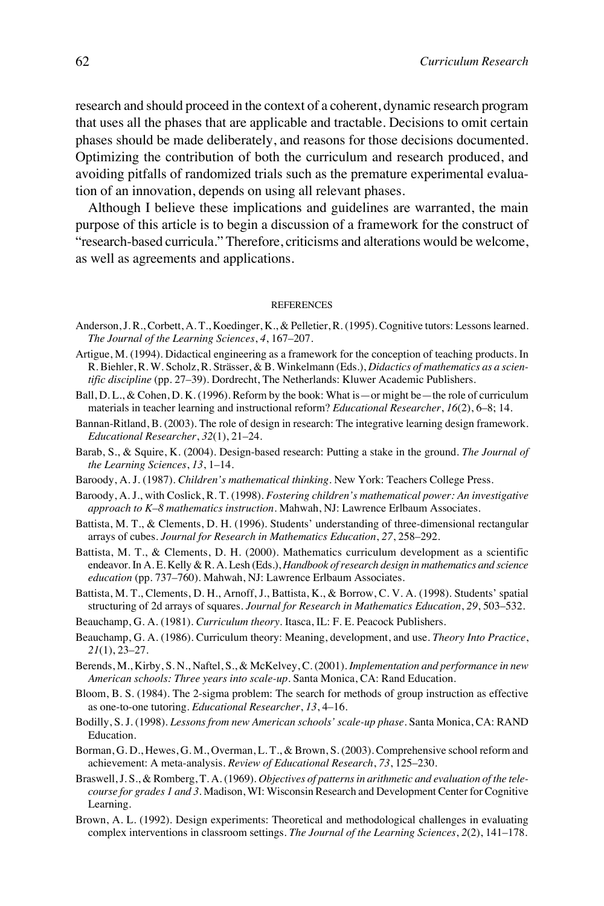research and should proceed in the context of a coherent, dynamic research program that uses all the phases that are applicable and tractable. Decisions to omit certain phases should be made deliberately, and reasons for those decisions documented. Optimizing the contribution of both the curriculum and research produced, and avoiding pitfalls of randomized trials such as the premature experimental evaluation of an innovation, depends on using all relevant phases.

Although I believe these implications and guidelines are warranted, the main purpose of this article is to begin a discussion of a framework for the construct of "research-based curricula." Therefore, criticisms and alterations would be welcome, as well as agreements and applications.

#### **REFERENCES**

- Anderson, J. R., Corbett, A. T., Koedinger, K., & Pelletier, R. (1995). Cognitive tutors: Lessons learned. *The Journal of the Learning Sciences*, *4*, 167–207.
- Artigue, M. (1994). Didactical engineering as a framework for the conception of teaching products. In R. Biehler, R. W. Scholz, R. Strässer, & B. Winkelmann (Eds.), *Didactics of mathematics as a scientific discipline* (pp. 27–39). Dordrecht, The Netherlands: Kluwer Academic Publishers.
- Ball, D. L., & Cohen, D. K. (1996). Reform by the book: What is—or might be—the role of curriculum materials in teacher learning and instructional reform? *Educational Researcher*, *16*(2), 6–8; 14.
- Bannan-Ritland, B. (2003). The role of design in research: The integrative learning design framework. *Educational Researcher*, *32*(1), 21–24.
- Barab, S., & Squire, K. (2004). Design-based research: Putting a stake in the ground. *The Journal of the Learning Sciences*, *13*, 1–14.
- Baroody, A. J. (1987). *Children's mathematical thinking*. New York: Teachers College Press.
- Baroody, A. J., with Coslick, R. T. (1998). *Fostering children's mathematical power: An investigative approach to K–8 mathematics instruction*. Mahwah, NJ: Lawrence Erlbaum Associates.
- Battista, M. T., & Clements, D. H. (1996). Students' understanding of three-dimensional rectangular arrays of cubes. *Journal for Research in Mathematics Education*, *27*, 258–292.
- Battista, M. T., & Clements, D. H. (2000). Mathematics curriculum development as a scientific endeavor. In A. E. Kelly & R. A. Lesh (Eds.), *Handbook of research design in mathematics and science education* (pp. 737–760). Mahwah, NJ: Lawrence Erlbaum Associates.
- Battista, M. T., Clements, D. H., Arnoff, J., Battista, K., & Borrow, C. V. A. (1998). Students' spatial structuring of 2d arrays of squares. *Journal for Research in Mathematics Education*, *29*, 503–532.
- Beauchamp, G. A. (1981). *Curriculum theory*. Itasca, IL: F. E. Peacock Publishers.
- Beauchamp, G. A. (1986). Curriculum theory: Meaning, development, and use. *Theory Into Practice*, *21*(1), 23–27.
- Berends, M., Kirby, S. N., Naftel, S., & McKelvey, C. (2001). *Implementation and performance in new American schools: Three years into scale-up*. Santa Monica, CA: Rand Education.
- Bloom, B. S. (1984). The 2-sigma problem: The search for methods of group instruction as effective as one-to-one tutoring. *Educational Researcher*, *13*, 4–16.
- Bodilly, S. J. (1998). *Lessons from new American schools' scale-up phase*. Santa Monica, CA: RAND Education.
- Borman, G. D., Hewes, G. M., Overman, L. T., & Brown, S. (2003). Comprehensive school reform and achievement: A meta-analysis. *Review of Educational Research*, *73*, 125–230.
- Braswell, J. S., & Romberg, T. A. (1969). *Objectives of patterns in arithmetic and evaluation of the telecourse for grades 1 and 3*. Madison, WI: Wisconsin Research and Development Center for Cognitive Learning.
- Brown, A. L. (1992). Design experiments: Theoretical and methodological challenges in evaluating complex interventions in classroom settings. *The Journal of the Learning Sciences*, *2*(2), 141–178.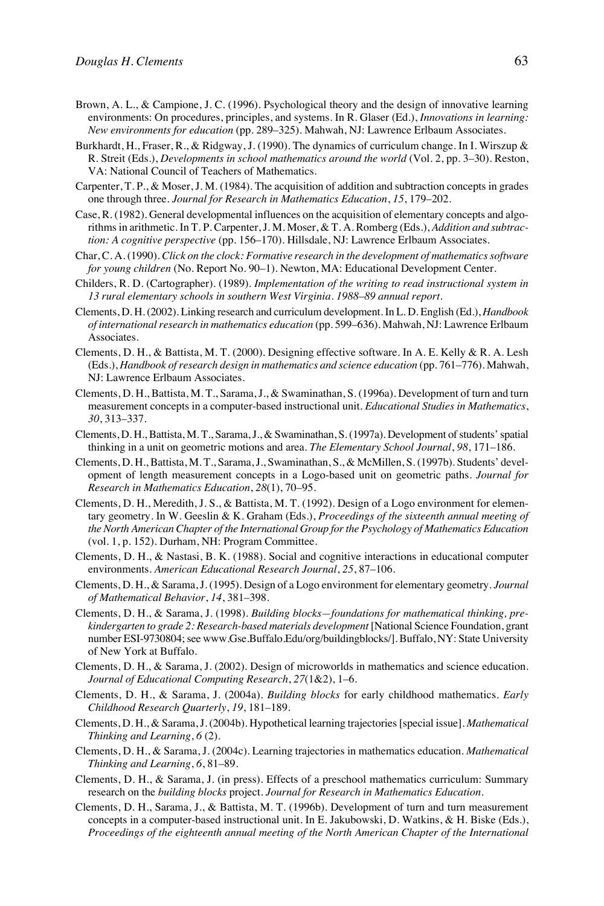- Brown, A. L., & Campione, J. C. (1996). Psychological theory and the design of innovative learning environments: On procedures, principles, and systems. In R. Glaser (Ed.), *Innovations in learning: New environments for education* (pp. 289–325). Mahwah, NJ: Lawrence Erlbaum Associates.
- Burkhardt, H., Fraser, R., & Ridgway, J. (1990). The dynamics of curriculum change. In I. Wirszup & R. Streit (Eds.), *Developments in school mathematics around the world* (Vol. 2, pp. 3–30). Reston, VA: National Council of Teachers of Mathematics.
- Carpenter, T. P., & Moser, J. M. (1984). The acquisition of addition and subtraction concepts in grades one through three. *Journal for Research in Mathematics Education*, *15*, 179–202.
- Case, R. (1982). General developmental influences on the acquisition of elementary concepts and algorithms in arithmetic. In T. P. Carpenter, J. M. Moser, & T. A. Romberg (Eds.), *Addition and subtraction: A cognitive perspective* (pp. 156–170). Hillsdale, NJ: Lawrence Erlbaum Associates.
- Char, C. A. (1990). *Click on the clock: Formative research in the development of mathematics software for young children* (No. Report No. 90–1). Newton, MA: Educational Development Center.
- Childers, R. D. (Cartographer). (1989). *Implementation of the writing to read instructional system in 13 rural elementary schools in southern West Virginia. 1988–89 annual report.*
- Clements, D. H. (2002). Linking research and curriculum development. In L. D. English (Ed.), *Handbook of international research in mathematics education* (pp. 599–636). Mahwah, NJ: Lawrence Erlbaum Associates.
- Clements, D. H., & Battista, M. T. (2000). Designing effective software. In A. E. Kelly & R. A. Lesh (Eds.), *Handbook of research design in mathematics and science education* (pp. 761–776). Mahwah, NJ: Lawrence Erlbaum Associates.
- Clements, D. H., Battista, M. T., Sarama, J., & Swaminathan, S. (1996a). Development of turn and turn measurement concepts in a computer-based instructional unit. *Educational Studies in Mathematics*, *30*, 313–337.
- Clements, D. H., Battista, M. T., Sarama, J., & Swaminathan, S. (1997a). Development of students' spatial thinking in a unit on geometric motions and area. *The Elementary School Journal*, *98*, 171–186.
- Clements, D. H., Battista, M. T., Sarama, J., Swaminathan, S., & McMillen, S. (1997b). Students' development of length measurement concepts in a Logo-based unit on geometric paths. *Journal for Research in Mathematics Education*, *28*(1), 70–95.
- Clements, D. H., Meredith, J. S., & Battista, M. T. (1992). Design of a Logo environment for elementary geometry. In W. Geeslin & K. Graham (Eds.), *Proceedings of the sixteenth annual meeting of the North American Chapter of the International Group for the Psychology of Mathematics Education* (vol. 1, p. 152). Durham, NH: Program Committee.
- Clements, D. H., & Nastasi, B. K. (1988). Social and cognitive interactions in educational computer environments. *American Educational Research Journal*, *25*, 87–106.
- Clements, D. H., & Sarama, J. (1995). Design of a Logo environment for elementary geometry. *Journal of Mathematical Behavior*, *14*, 381–398.
- Clements, D. H., & Sarama, J. (1998). *Building blocks—foundations for mathematical thinking, prekindergarten to grade 2: Research-based materials development* [National Science Foundation, grant number ESI-9730804; see www.Gse.Buffalo.Edu/org/buildingblocks/]. Buffalo, NY: State University of New York at Buffalo.
- Clements, D. H., & Sarama, J. (2002). Design of microworlds in mathematics and science education. *Journal of Educational Computing Research*, *27*(1&2), 1–6.
- Clements, D. H., & Sarama, J. (2004a). *Building blocks* for early childhood mathematics. *Early Childhood Research Quarterly*, *19*, 181–189.
- Clements, D. H., & Sarama, J. (2004b). Hypothetical learning trajectories [special issue]. *Mathematical Thinking and Learning*, *6* (2).
- Clements, D. H., & Sarama, J. (2004c). Learning trajectories in mathematics education. *Mathematical Thinking and Learning*, *6*, 81–89.
- Clements, D. H., & Sarama, J. (in press). Effects of a preschool mathematics curriculum: Summary research on the *building blocks* project. *Journal for Research in Mathematics Education.*
- Clements, D. H., Sarama, J., & Battista, M. T. (1996b). Development of turn and turn measurement concepts in a computer-based instructional unit. In E. Jakubowski, D. Watkins, & H. Biske (Eds.), *Proceedings of the eighteenth annual meeting of the North American Chapter of the International*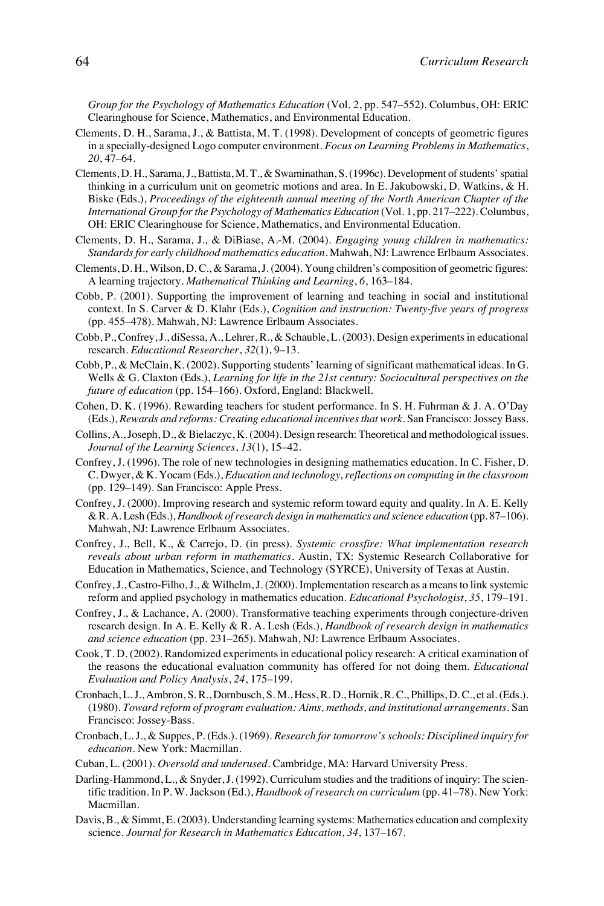*Group for the Psychology of Mathematics Education* (Vol. 2, pp. 547–552). Columbus, OH: ERIC Clearinghouse for Science, Mathematics, and Environmental Education.

- Clements, D. H., Sarama, J., & Battista, M. T. (1998). Development of concepts of geometric figures in a specially-designed Logo computer environment. *Focus on Learning Problems in Mathematics*, *20*, 47–64.
- Clements, D. H., Sarama, J., Battista, M. T., & Swaminathan, S. (1996c). Development of students' spatial thinking in a curriculum unit on geometric motions and area. In E. Jakubowski, D. Watkins, & H. Biske (Eds.), *Proceedings of the eighteenth annual meeting of the North American Chapter of the International Group for the Psychology of Mathematics Education* (Vol. 1, pp. 217–222). Columbus, OH: ERIC Clearinghouse for Science, Mathematics, and Environmental Education.
- Clements, D. H., Sarama, J., & DiBiase, A.-M. (2004). *Engaging young children in mathematics: Standards for early childhood mathematics education*. Mahwah, NJ: Lawrence Erlbaum Associates.
- Clements, D. H., Wilson, D. C., & Sarama, J. (2004). Young children's composition of geometric figures: A learning trajectory. *Mathematical Thinking and Learning*, *6*, 163–184.
- Cobb, P. (2001). Supporting the improvement of learning and teaching in social and institutional context. In S. Carver & D. Klahr (Eds.), *Cognition and instruction: Twenty-five years of progress* (pp. 455–478). Mahwah, NJ: Lawrence Erlbaum Associates.
- Cobb, P., Confrey, J., diSessa, A., Lehrer, R., & Schauble, L. (2003). Design experiments in educational research. *Educational Researcher*, *32*(1), 9–13.
- Cobb, P., & McClain, K. (2002). Supporting students' learning of significant mathematical ideas. In G. Wells & G. Claxton (Eds.), *Learning for life in the 21st century: Sociocultural perspectives on the future of education* (pp. 154–166). Oxford, England: Blackwell.
- Cohen, D. K. (1996). Rewarding teachers for student performance. In S. H. Fuhrman & J. A. O'Day (Eds.), *Rewards and reforms: Creating educational incentives that work*. San Francisco: Jossey Bass.
- Collins, A., Joseph, D., & Bielaczyc, K. (2004). Design research: Theoretical and methodological issues. *Journal of the Learning Sciences*, *13*(1), 15–42.
- Confrey, J. (1996). The role of new technologies in designing mathematics education. In C. Fisher, D. C. Dwyer, & K. Yocam (Eds.), *Education and technology, reflections on computing in the classroom* (pp. 129–149). San Francisco: Apple Press.
- Confrey, J. (2000). Improving research and systemic reform toward equity and quality. In A. E. Kelly & R. A. Lesh (Eds.), *Handbook of research design in mathematics and science education* (pp. 87–106). Mahwah, NJ: Lawrence Erlbaum Associates.
- Confrey, J., Bell, K., & Carrejo, D. (in press). *Systemic crossfire: What implementation research reveals about urban reform in mathematics*. Austin, TX: Systemic Research Collaborative for Education in Mathematics, Science, and Technology (SYRCE), University of Texas at Austin.
- Confrey, J., Castro-Filho, J., & Wilhelm, J. (2000). Implementation research as a means to link systemic reform and applied psychology in mathematics education. *Educational Psychologist*, *35*, 179–191.
- Confrey, J., & Lachance, A. (2000). Transformative teaching experiments through conjecture-driven research design. In A. E. Kelly & R. A. Lesh (Eds.), *Handbook of research design in mathematics and science education* (pp. 231–265). Mahwah, NJ: Lawrence Erlbaum Associates.
- Cook, T. D. (2002). Randomized experiments in educational policy research: A critical examination of the reasons the educational evaluation community has offered for not doing them. *Educational Evaluation and Policy Analysis*, *24*, 175–199.
- Cronbach, L. J., Ambron, S. R., Dornbusch, S. M., Hess, R. D., Hornik, R. C., Phillips, D. C., et al. (Eds.). (1980). *Toward reform of program evaluation: Aims, methods, and institutional arrangements*. San Francisco: Jossey-Bass.
- Cronbach, L. J., & Suppes, P. (Eds.). (1969). *Research for tomorrow's schools: Disciplined inquiry for education*. New York: Macmillan.
- Cuban, L. (2001). *Oversold and underused*. Cambridge, MA: Harvard University Press.
- Darling-Hammond, L., & Snyder, J. (1992). Curriculum studies and the traditions of inquiry: The scientific tradition. In P. W. Jackson (Ed.), *Handbook of research on curriculum* (pp. 41–78). New York: Macmillan.
- Davis, B., & Simmt, E. (2003). Understanding learning systems: Mathematics education and complexity science. *Journal for Research in Mathematics Education*, *34*, 137–167.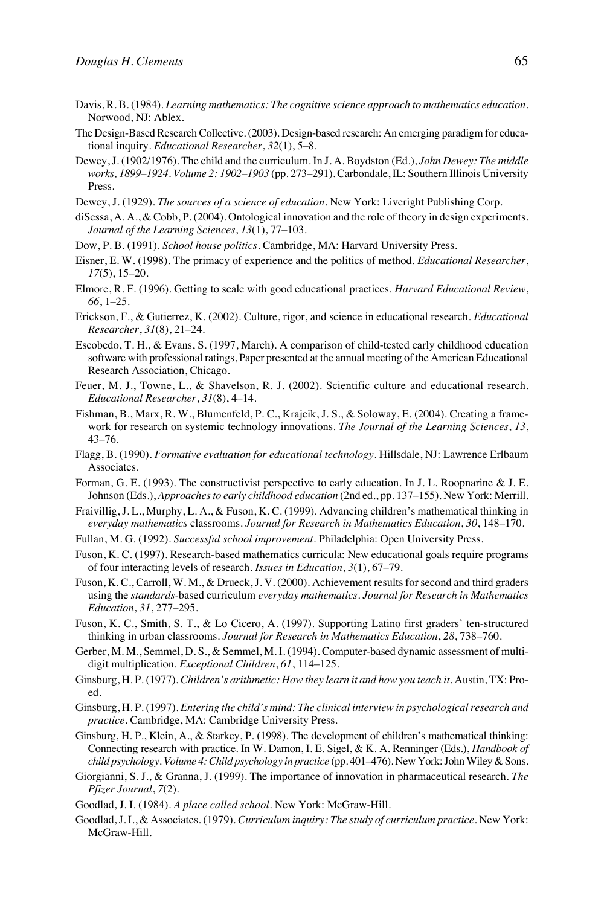- Davis, R. B. (1984). *Learning mathematics: The cognitive science approach to mathematics education*. Norwood, NJ: Ablex.
- The Design-Based Research Collective. (2003). Design-based research: An emerging paradigm for educational inquiry. *Educational Researcher*, *32*(1), 5–8.
- Dewey, J. (1902/1976). The child and the curriculum. In J. A. Boydston (Ed.), *John Dewey: The middle works, 1899–1924. Volume 2: 1902–1903* (pp. 273–291). Carbondale, IL: Southern Illinois University Press.
- Dewey, J. (1929). *The sources of a science of education*. New York: Liveright Publishing Corp.
- diSessa, A. A., & Cobb, P. (2004). Ontological innovation and the role of theory in design experiments. *Journal of the Learning Sciences*, *13*(1), 77–103.
- Dow, P. B. (1991). *School house politics*. Cambridge, MA: Harvard University Press.
- Eisner, E. W. (1998). The primacy of experience and the politics of method. *Educational Researcher*, *17*(5), 15–20.
- Elmore, R. F. (1996). Getting to scale with good educational practices. *Harvard Educational Review*, *66*, 1–25.
- Erickson, F., & Gutierrez, K. (2002). Culture, rigor, and science in educational research. *Educational Researcher*, *31*(8), 21–24.
- Escobedo, T. H., & Evans, S. (1997, March). A comparison of child-tested early childhood education software with professional ratings, Paper presented at the annual meeting of the American Educational Research Association, Chicago.
- Feuer, M. J., Towne, L., & Shavelson, R. J. (2002). Scientific culture and educational research. *Educational Researcher*, *31*(8), 4–14.
- Fishman, B., Marx, R. W., Blumenfeld, P. C., Krajcik, J. S., & Soloway, E. (2004). Creating a framework for research on systemic technology innovations. *The Journal of the Learning Sciences*, *13*, 43–76.
- Flagg, B. (1990). *Formative evaluation for educational technology*. Hillsdale, NJ: Lawrence Erlbaum Associates.
- Forman, G. E. (1993). The constructivist perspective to early education. In J. L. Roopnarine & J. E. Johnson (Eds.), *Approaches to early childhood education* (2nd ed., pp. 137–155). New York: Merrill.
- Fraivillig, J. L., Murphy, L. A., & Fuson, K. C. (1999). Advancing children's mathematical thinking in *everyday mathematics* classrooms. *Journal for Research in Mathematics Education*, *30*, 148–170.
- Fullan, M. G. (1992). *Successful school improvement*. Philadelphia: Open University Press.
- Fuson, K. C. (1997). Research-based mathematics curricula: New educational goals require programs of four interacting levels of research. *Issues in Education*, *3*(1), 67–79.
- Fuson, K. C., Carroll, W. M., & Drueck, J. V. (2000). Achievement results for second and third graders using the *standards*-based curriculum *everyday mathematics*. *Journal for Research in Mathematics Education*, *31*, 277–295.
- Fuson, K. C., Smith, S. T., & Lo Cicero, A. (1997). Supporting Latino first graders' ten-structured thinking in urban classrooms. *Journal for Research in Mathematics Education*, *28*, 738–760.
- Gerber, M. M., Semmel, D. S., & Semmel, M. I. (1994). Computer-based dynamic assessment of multidigit multiplication. *Exceptional Children*, *61*, 114–125.
- Ginsburg, H. P. (1977). *Children's arithmetic: How they learn it and how you teach it.* Austin, TX: Proed.
- Ginsburg, H. P. (1997). *Entering the child's mind: The clinical interview in psychological research and practice*. Cambridge, MA: Cambridge University Press.
- Ginsburg, H. P., Klein, A., & Starkey, P. (1998). The development of children's mathematical thinking: Connecting research with practice. In W. Damon, I. E. Sigel, & K. A. Renninger (Eds.), *Handbook of child psychology. Volume 4: Child psychology in practice* (pp. 401–476). New York: John Wiley & Sons.
- Giorgianni, S. J., & Granna, J. (1999). The importance of innovation in pharmaceutical research. *The Pfizer Journal*, *7*(2).
- Goodlad, J. I. (1984). *A place called school*. New York: McGraw-Hill.
- Goodlad, J. I., & Associates. (1979). *Curriculum inquiry: The study of curriculum practice*. New York: McGraw-Hill.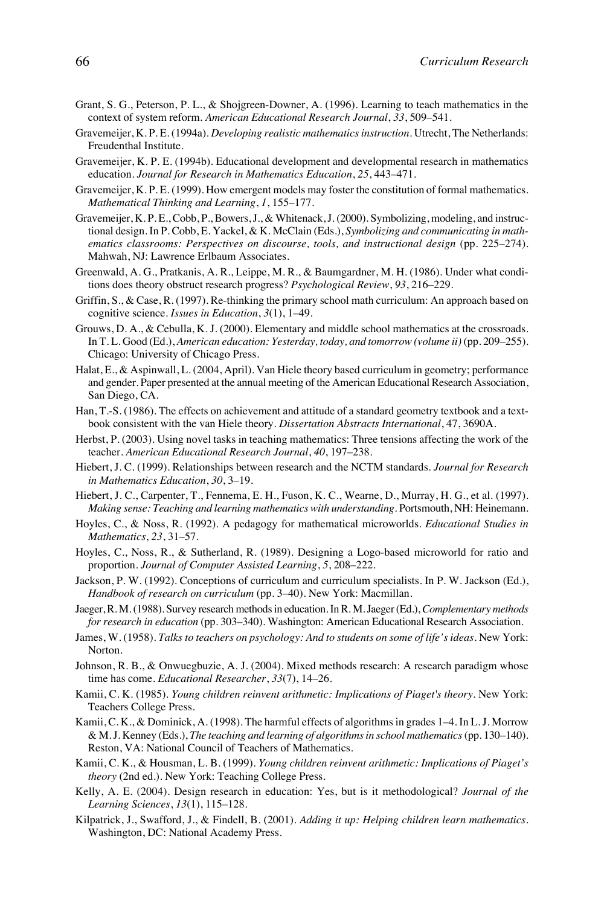- Grant, S. G., Peterson, P. L., & Shojgreen-Downer, A. (1996). Learning to teach mathematics in the context of system reform. *American Educational Research Journal*, *33*, 509–541.
- Gravemeijer, K. P. E. (1994a). *Developing realistic mathematics instruction*. Utrecht, The Netherlands: Freudenthal Institute.
- Gravemeijer, K. P. E. (1994b). Educational development and developmental research in mathematics education. *Journal for Research in Mathematics Education*, *25*, 443–471.
- Gravemeijer, K. P. E. (1999). How emergent models may foster the constitution of formal mathematics. *Mathematical Thinking and Learning*, *1*, 155–177.
- Gravemeijer, K. P. E., Cobb, P., Bowers, J., & Whitenack, J. (2000). Symbolizing, modeling, and instructional design. In P. Cobb, E. Yackel, & K. McClain (Eds.), *Symbolizing and communicating in mathematics classrooms: Perspectives on discourse, tools, and instructional design* (pp. 225–274). Mahwah, NJ: Lawrence Erlbaum Associates.
- Greenwald, A. G., Pratkanis, A. R., Leippe, M. R., & Baumgardner, M. H. (1986). Under what conditions does theory obstruct research progress? *Psychological Review*, *93*, 216–229.
- Griffin, S., & Case, R. (1997). Re-thinking the primary school math curriculum: An approach based on cognitive science. *Issues in Education*, *3*(1), 1–49.
- Grouws, D. A., & Cebulla, K. J. (2000). Elementary and middle school mathematics at the crossroads. In T. L. Good (Ed.), *American education: Yesterday, today, and tomorrow (volume ii)* (pp. 209–255). Chicago: University of Chicago Press.
- Halat, E., & Aspinwall, L. (2004, April). Van Hiele theory based curriculum in geometry; performance and gender. Paper presented at the annual meeting of the American Educational Research Association, San Diego, CA.
- Han, T.-S. (1986). The effects on achievement and attitude of a standard geometry textbook and a textbook consistent with the van Hiele theory. *Dissertation Abstracts International*, 47, 3690A.
- Herbst, P. (2003). Using novel tasks in teaching mathematics: Three tensions affecting the work of the teacher. *American Educational Research Journal*, *40*, 197–238.
- Hiebert, J. C. (1999). Relationships between research and the NCTM standards. *Journal for Research in Mathematics Education*, *30*, 3–19.
- Hiebert, J. C., Carpenter, T., Fennema, E. H., Fuson, K. C., Wearne, D., Murray, H. G., et al. (1997). *Making sense: Teaching and learning mathematics with understanding*. Portsmouth, NH: Heinemann.
- Hoyles, C., & Noss, R. (1992). A pedagogy for mathematical microworlds. *Educational Studies in Mathematics*, *23*, 31–57.
- Hoyles, C., Noss, R., & Sutherland, R. (1989). Designing a Logo-based microworld for ratio and proportion. *Journal of Computer Assisted Learning*, *5*, 208–222.
- Jackson, P. W. (1992). Conceptions of curriculum and curriculum specialists. In P. W. Jackson (Ed.), *Handbook of research on curriculum* (pp. 3–40). New York: Macmillan.
- Jaeger, R. M. (1988). Survey research methods in education. In R. M. Jaeger (Ed.), *Complementary methods for research in education* (pp. 303–340). Washington: American Educational Research Association.
- James, W. (1958). *Talks to teachers on psychology: And to students on some of life's ideas*. New York: Norton.
- Johnson, R. B., & Onwuegbuzie, A. J. (2004). Mixed methods research: A research paradigm whose time has come. *Educational Researcher*, *33*(7), 14–26.
- Kamii, C. K. (1985). *Young children reinvent arithmetic: Implications of Piaget's theory*. New York: Teachers College Press.
- Kamii, C. K., & Dominick, A. (1998). The harmful effects of algorithms in grades 1–4. In L. J. Morrow & M. J. Kenney (Eds.), *The teaching and learning of algorithms in school mathematics*(pp. 130–140). Reston, VA: National Council of Teachers of Mathematics.
- Kamii, C. K., & Housman, L. B. (1999). *Young children reinvent arithmetic: Implications of Piaget's theory* (2nd ed.). New York: Teaching College Press.
- Kelly, A. E. (2004). Design research in education: Yes, but is it methodological? *Journal of the Learning Sciences*, *13*(1), 115–128.
- Kilpatrick, J., Swafford, J., & Findell, B. (2001). *Adding it up: Helping children learn mathematics*. Washington, DC: National Academy Press.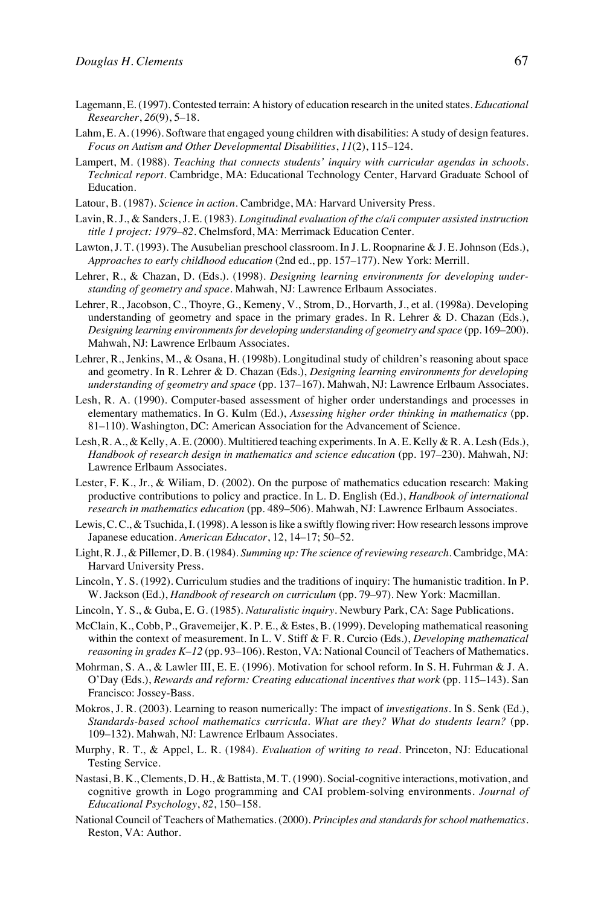- Lagemann, E. (1997). Contested terrain: A history of education research in the united states. *Educational Researcher*, *26*(9), 5–18.
- Lahm, E. A. (1996). Software that engaged young children with disabilities: A study of design features. *Focus on Autism and Other Developmental Disabilities*, *11*(2), 115–124.
- Lampert, M. (1988). *Teaching that connects students' inquiry with curricular agendas in schools. Technical report*. Cambridge, MA: Educational Technology Center, Harvard Graduate School of Education.
- Latour, B. (1987). *Science in action*. Cambridge, MA: Harvard University Press.
- Lavin, R. J., & Sanders, J. E. (1983). *Longitudinal evaluation of the c/a/i computer assisted instruction title 1 project: 1979–82.* Chelmsford, MA: Merrimack Education Center.
- Lawton, J. T. (1993). The Ausubelian preschool classroom. In J. L. Roopnarine & J. E. Johnson (Eds.), *Approaches to early childhood education* (2nd ed., pp. 157–177). New York: Merrill.
- Lehrer, R., & Chazan, D. (Eds.). (1998). *Designing learning environments for developing understanding of geometry and space*. Mahwah, NJ: Lawrence Erlbaum Associates.
- Lehrer, R., Jacobson, C., Thoyre, G., Kemeny, V., Strom, D., Horvarth, J., et al. (1998a). Developing understanding of geometry and space in the primary grades. In R. Lehrer & D. Chazan (Eds.), *Designing learning environments for developing understanding of geometry and space* (pp. 169–200). Mahwah, NJ: Lawrence Erlbaum Associates.
- Lehrer, R., Jenkins, M., & Osana, H. (1998b). Longitudinal study of children's reasoning about space and geometry. In R. Lehrer & D. Chazan (Eds.), *Designing learning environments for developing understanding of geometry and space* (pp. 137–167). Mahwah, NJ: Lawrence Erlbaum Associates.
- Lesh, R. A. (1990). Computer-based assessment of higher order understandings and processes in elementary mathematics. In G. Kulm (Ed.), *Assessing higher order thinking in mathematics* (pp. 81–110). Washington, DC: American Association for the Advancement of Science.
- Lesh, R. A., & Kelly, A. E. (2000). Multitiered teaching experiments. In A. E. Kelly & R. A. Lesh (Eds.), *Handbook of research design in mathematics and science education* (pp. 197–230). Mahwah, NJ: Lawrence Erlbaum Associates.
- Lester, F. K., Jr., & Wiliam, D. (2002). On the purpose of mathematics education research: Making productive contributions to policy and practice. In L. D. English (Ed.), *Handbook of international research in mathematics education* (pp. 489–506). Mahwah, NJ: Lawrence Erlbaum Associates.
- Lewis, C. C., & Tsuchida, I. (1998). A lesson is like a swiftly flowing river: How research lessons improve Japanese education. *American Educator*, 12, 14–17; 50–52.
- Light, R. J., & Pillemer, D. B. (1984). *Summing up: The science of reviewing research*. Cambridge, MA: Harvard University Press.
- Lincoln, Y. S. (1992). Curriculum studies and the traditions of inquiry: The humanistic tradition. In P. W. Jackson (Ed.), *Handbook of research on curriculum* (pp. 79–97). New York: Macmillan.
- Lincoln, Y. S., & Guba, E. G. (1985). *Naturalistic inquiry*. Newbury Park, CA: Sage Publications.
- McClain, K., Cobb, P., Gravemeijer, K. P. E., & Estes, B. (1999). Developing mathematical reasoning within the context of measurement. In L. V. Stiff & F. R. Curcio (Eds.), *Developing mathematical reasoning in grades K–12* (pp. 93–106). Reston, VA: National Council of Teachers of Mathematics.
- Mohrman, S. A., & Lawler III, E. E. (1996). Motivation for school reform. In S. H. Fuhrman & J. A. O'Day (Eds.), *Rewards and reform: Creating educational incentives that work* (pp. 115–143). San Francisco: Jossey-Bass.
- Mokros, J. R. (2003). Learning to reason numerically: The impact of *investigations*. In S. Senk (Ed.), *Standards-based school mathematics curricula. What are they? What do students learn?* (pp. 109–132). Mahwah, NJ: Lawrence Erlbaum Associates.
- Murphy, R. T., & Appel, L. R. (1984). *Evaluation of writing to read*. Princeton, NJ: Educational Testing Service.
- Nastasi, B. K., Clements, D. H., & Battista, M. T. (1990). Social-cognitive interactions, motivation, and cognitive growth in Logo programming and CAI problem-solving environments. *Journal of Educational Psychology*, *82*, 150–158.
- National Council of Teachers of Mathematics. (2000). *Principles and standards for school mathematics*. Reston, VA: Author.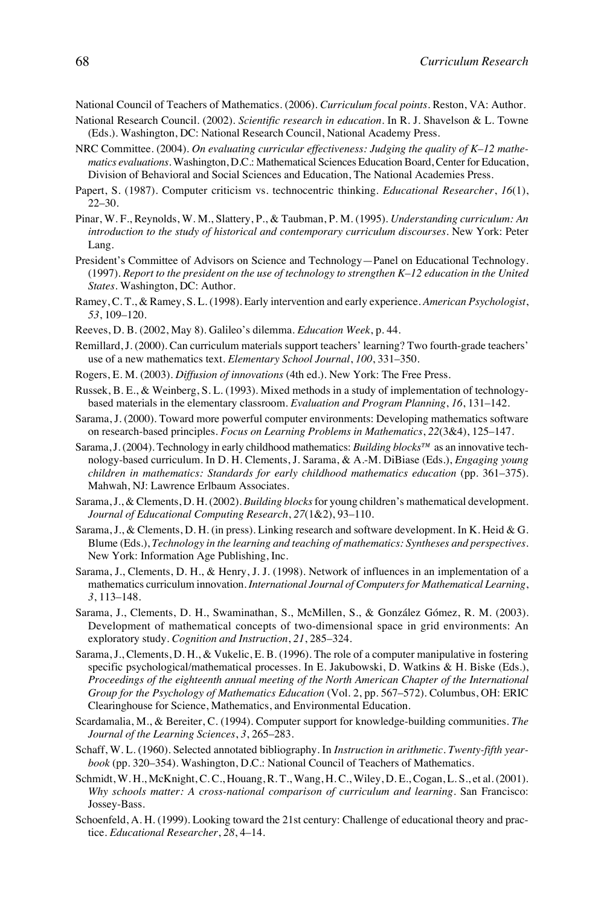National Council of Teachers of Mathematics. (2006). *Curriculum focal points*. Reston, VA: Author.

- National Research Council. (2002). *Scientific research in education*. In R. J. Shavelson & L. Towne (Eds.). Washington, DC: National Research Council, National Academy Press.
- NRC Committee. (2004). *On evaluating curricular effectiveness: Judging the quality of K–12 mathematics evaluations*. Washington, D.C.: Mathematical Sciences Education Board, Center for Education, Division of Behavioral and Social Sciences and Education, The National Academies Press.
- Papert, S. (1987). Computer criticism vs. technocentric thinking. *Educational Researcher*, *16*(1), 22–30.
- Pinar, W. F., Reynolds, W. M., Slattery, P., & Taubman, P. M. (1995). *Understanding curriculum: An introduction to the study of historical and contemporary curriculum discourses*. New York: Peter Lang.
- President's Committee of Advisors on Science and Technology—Panel on Educational Technology. (1997). *Report to the president on the use of technology to strengthen K–12 education in the United States*. Washington, DC: Author.
- Ramey, C. T., & Ramey, S. L. (1998). Early intervention and early experience. *American Psychologist*, *53*, 109–120.
- Reeves, D. B. (2002, May 8). Galileo's dilemma. *Education Week*, p. 44.
- Remillard, J. (2000). Can curriculum materials support teachers' learning? Two fourth-grade teachers' use of a new mathematics text. *Elementary School Journal*, *100*, 331–350.
- Rogers, E. M. (2003). *Diffusion of innovations* (4th ed.). New York: The Free Press.
- Russek, B. E., & Weinberg, S. L. (1993). Mixed methods in a study of implementation of technologybased materials in the elementary classroom. *Evaluation and Program Planning*, *16*, 131–142.
- Sarama, J. (2000). Toward more powerful computer environments: Developing mathematics software on research-based principles. *Focus on Learning Problems in Mathematics*, *22*(3&4), 125–147.
- Sarama, J. (2004). Technology in early childhood mathematics: *Building blocks™* as an innovative technology-based curriculum. In D. H. Clements, J. Sarama, & A.-M. DiBiase (Eds.), *Engaging young children in mathematics: Standards for early childhood mathematics education* (pp. 361–375). Mahwah, NJ: Lawrence Erlbaum Associates.
- Sarama, J., & Clements, D. H. (2002). *Building blocks*for young children's mathematical development. *Journal of Educational Computing Research*, *27*(1&2), 93–110.
- Sarama, J., & Clements, D. H. (in press). Linking research and software development. In K. Heid & G. Blume (Eds.), *Technology in the learning and teaching of mathematics: Syntheses and perspectives*. New York: Information Age Publishing, Inc.
- Sarama, J., Clements, D. H., & Henry, J. J. (1998). Network of influences in an implementation of a mathematics curriculum innovation. *International Journal of Computers for Mathematical Learning*, *3*, 113–148.
- Sarama, J., Clements, D. H., Swaminathan, S., McMillen, S., & González Gómez, R. M. (2003). Development of mathematical concepts of two-dimensional space in grid environments: An exploratory study. *Cognition and Instruction*, *21*, 285–324.
- Sarama, J., Clements, D. H., & Vukelic, E. B. (1996). The role of a computer manipulative in fostering specific psychological/mathematical processes. In E. Jakubowski, D. Watkins & H. Biske (Eds.), *Proceedings of the eighteenth annual meeting of the North American Chapter of the International Group for the Psychology of Mathematics Education* (Vol. 2, pp. 567–572). Columbus, OH: ERIC Clearinghouse for Science, Mathematics, and Environmental Education.
- Scardamalia, M., & Bereiter, C. (1994). Computer support for knowledge-building communities. *The Journal of the Learning Sciences*, *3*, 265–283.
- Schaff, W. L. (1960). Selected annotated bibliography. In *Instruction in arithmetic. Twenty-fifth yearbook* (pp. 320–354). Washington, D.C.: National Council of Teachers of Mathematics.
- Schmidt, W. H., McKnight, C. C., Houang, R. T., Wang, H. C., Wiley, D. E., Cogan, L. S., et al. (2001). *Why schools matter: A cross-national comparison of curriculum and learning*. San Francisco: Jossey-Bass.
- Schoenfeld, A. H. (1999). Looking toward the 21st century: Challenge of educational theory and practice. *Educational Researcher*, *28*, 4–14.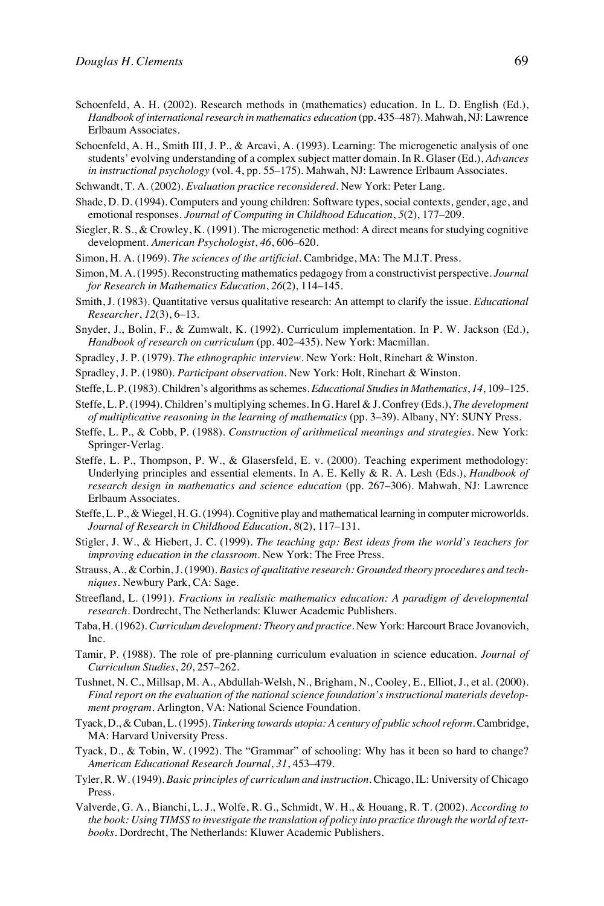- Schoenfeld, A. H. (2002). Research methods in (mathematics) education. In L. D. English (Ed.), *Handbook of international research in mathematics education* (pp. 435–487). Mahwah, NJ: Lawrence Erlbaum Associates.
- Schoenfeld, A. H., Smith III, J. P., & Arcavi, A. (1993). Learning: The microgenetic analysis of one students' evolving understanding of a complex subject matter domain. In R. Glaser (Ed.), *Advances in instructional psychology* (vol. 4, pp. 55–175). Mahwah, NJ: Lawrence Erlbaum Associates.
- Schwandt, T. A. (2002). *Evaluation practice reconsidered*. New York: Peter Lang.
- Shade, D. D. (1994). Computers and young children: Software types, social contexts, gender, age, and emotional responses. *Journal of Computing in Childhood Education*, *5*(2), 177–209.
- Siegler, R. S., & Crowley, K. (1991). The microgenetic method: A direct means for studying cognitive development. *American Psychologist*, *46*, 606–620.
- Simon, H. A. (1969). *The sciences of the artificial*. Cambridge, MA: The M.I.T. Press.
- Simon, M. A. (1995). Reconstructing mathematics pedagogy from a constructivist perspective. *Journal for Research in Mathematics Education*, *26*(2), 114–145.
- Smith, J. (1983). Quantitative versus qualitative research: An attempt to clarify the issue. *Educational Researcher*, *12*(3), 6–13.
- Snyder, J., Bolin, F., & Zumwalt, K. (1992). Curriculum implementation. In P. W. Jackson (Ed.), *Handbook of research on curriculum* (pp. 402–435). New York: Macmillan.
- Spradley, J. P. (1979). *The ethnographic interview*. New York: Holt, Rinehart & Winston.
- Spradley, J. P. (1980). *Participant observation*. New York: Holt, Rinehart & Winston.
- Steffe, L. P. (1983). Children's algorithms as schemes. *Educational Studies in Mathematics*, *14*, 109–125.
- Steffe, L. P. (1994). Children's multiplying schemes. In G. Harel & J. Confrey (Eds.), *The development of multiplicative reasoning in the learning of mathematics* (pp. 3–39). Albany, NY: SUNY Press.
- Steffe, L. P., & Cobb, P. (1988). *Construction of arithmetical meanings and strategies*. New York: Springer-Verlag.
- Steffe, L. P., Thompson, P. W., & Glasersfeld, E. v. (2000). Teaching experiment methodology: Underlying principles and essential elements. In A. E. Kelly & R. A. Lesh (Eds.), *Handbook of research design in mathematics and science education* (pp. 267–306). Mahwah, NJ: Lawrence Erlbaum Associates.
- Steffe, L. P., & Wiegel, H. G. (1994). Cognitive play and mathematical learning in computer microworlds. *Journal of Research in Childhood Education*, *8*(2), 117–131.
- Stigler, J. W., & Hiebert, J. C. (1999). *The teaching gap: Best ideas from the world's teachers for improving education in the classroom*. New York: The Free Press.
- Strauss, A., & Corbin, J. (1990). *Basics of qualitative research: Grounded theory procedures and techniques*. Newbury Park, CA: Sage.
- Streefland, L. (1991). *Fractions in realistic mathematics education: A paradigm of developmental research*. Dordrecht, The Netherlands: Kluwer Academic Publishers.
- Taba, H. (1962). *Curriculum development: Theory and practice*. New York: Harcourt Brace Jovanovich, Inc.
- Tamir, P. (1988). The role of pre-planning curriculum evaluation in science education. *Journal of Curriculum Studies*, *20*, 257–262.
- Tushnet, N. C., Millsap, M. A., Abdullah-Welsh, N., Brigham, N., Cooley, E., Elliot, J., et al. (2000). *Final report on the evaluation of the national science foundation's instructional materials development program*. Arlington, VA: National Science Foundation.
- Tyack, D., & Cuban, L. (1995). *Tinkering towards utopia: A century of public school reform*. Cambridge, MA: Harvard University Press.
- Tyack, D., & Tobin, W. (1992). The "Grammar" of schooling: Why has it been so hard to change? *American Educational Research Journal*, *31*, 453–479.
- Tyler, R. W. (1949). *Basic principles of curriculum and instruction*. Chicago, IL: University of Chicago Press.
- Valverde, G. A., Bianchi, L. J., Wolfe, R. G., Schmidt, W. H., & Houang, R. T. (2002). *According to the book: Using TIMSS to investigate the translation of policy into practice through the world of textbooks*. Dordrecht, The Netherlands: Kluwer Academic Publishers.